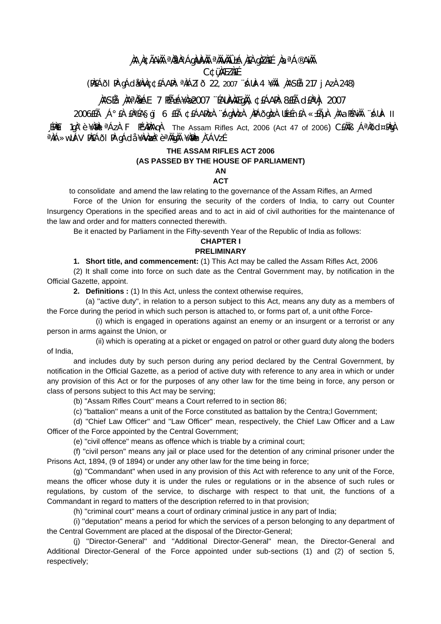# **¸ÀA¸À¢ÃAiÀÄ ªÀåªÀºÁgÀUÀ¼ÀÄ ªÀÄvÀÄÛ ±Á¸À£À gÀZÀ£É ¸ÀaªÁ®AiÀÄ C¢ü¸ÀÆZÀ£É**

(PÀ£ÁðlPÀ gÁdå¥ÀvÀç ¢£ÁAPÀ: ªÀiÁZïð 22, 2007 ¨sÁUÀ-4 ¥ÀÄl¸ÀASÉå: 217 jAzÀ 248)

# **¸ÀASÉå: ¸ÀAªÀå±ÁE 7 PÉñÁ¥Àæ 2007 ¨ÉAUÀ¼ÀÆgÀÄ, ¢£ÁAPÀ: 8£Éà d£ÀªÀj 2007**

2006£Éà ¸Á°£À £ÀªÉA§gï 6 £Éà ¢£ÁAPÀzÀ ¨sÁgÀvÀzÀ ¸ÀPÁðgÀzÀ UÉeÉn£À «±ÉõÀ ¸ÀAaPÉAiÀÄ ¨sÁUÀ- II EPAEI 1gˡè ¥ÀBÀL <sup>a</sup>ÁzÀ F PÉYÀPÀAgÀ The Assam Rifles Act, 2006 (Act 47 of 2006) CEÀÄB , Á<sup>a</sup> $\lambda$ ðd¤PÀgÀ <sup>a</sup>ÀiÁ»wUÁV PÀ£ÁðI PÅ gÁdå ¥ÀvÀ**æ**ˡè <sup>a</sup>ÀägÀÄ ¥À̀MÀn¸À¯ÁVzÉ

## **THE ASSAM RIFLES ACT 2006**

### **(AS PASSED BY THE HOUSE OF PARLIAMENT)**

# **AN**

## **ACT**

to consolidate and amend the law relating to the governance of the Assam Rifles, an Armed

 Force of the Union for ensuring the security of the corders of India, to carry out Counter Insurgency Operations in the specified areas and to act in aid of civil authorities for the maintenance of the law and order and for matters connected therewith.

Be it enacted by Parliament in the Fifty-seventh Year of the Republic of India as follows:

### **CHAPTER I PRELIMINARY**

 **1. Short title, and commencement:** (1) This Act may be called the Assam Rifles Act, 2006

 (2) It shall come into force on such date as the Central Government may, by notification in the Official Gazette, appoint.

**2. Definitions :** (1) In this Act, unless the context otherwise requires,

 (a) ''active duty'', in relation to a person subject to this Act, means any duty as a members of the Force during the period in which such person is attached to, or forms part of, a unit ofthe Force-

 (i) which is engaged in operations against an enemy or an insurgent or a terrorist or any person in arms against the Union, or

 (ii) which is operating at a picket or engaged on patrol or other guard duty along the boders of India,

 and includes duty by such person during any period declared by the Central Government, by notification in the Official Gazette, as a period of active duty with reference to any area in which or under any provision of this Act or for the purposes of any other law for the time being in force, any person or class of persons subject to this Act may be serving;

(b) ''Assam Rifles Court'' means a Court referred to in section 86;

(c) ''battalion'' means a unit of the Force constituted as battalion by the Centra;l Government;

 (d) ''Chief Law Officer'' and ''Law Officer'' mean, respectively, the Chief Law Officer and a Law Officer of the Force appointed by the Central Government;

(e) ''civil offence'' means as offence which is triable by a criminal court;

 (f) ''civil person'' means any jail or place used for the detention of any criminal prisoner under the Prisons Act, 1894, (9 of 1894) or under any other law for the time being in force;

 (g) ''Commandant'' when used in any provision of this Act with reference to any unit of the Force, means the officer whose duty it is under the rules or regulations or in the absence of such rules or regulations, by custom of the service, to discharge with respect to that unit, the functions of a Commandant in regard to matters of the description referred to in that provision;

(h) ''criminal court'' means a court of ordinary criminal justice in any part of India;

 (i) ''deputation'' means a period for which the services of a person belonging to any department of the Central Government are placed at the disposal of the Director-General;

 (j) ''Director-General'' and ''Additional Director-General'' mean, the Director-General and Additional Director-General of the Force appointed under sub-sections (1) and (2) of section 5, respectively;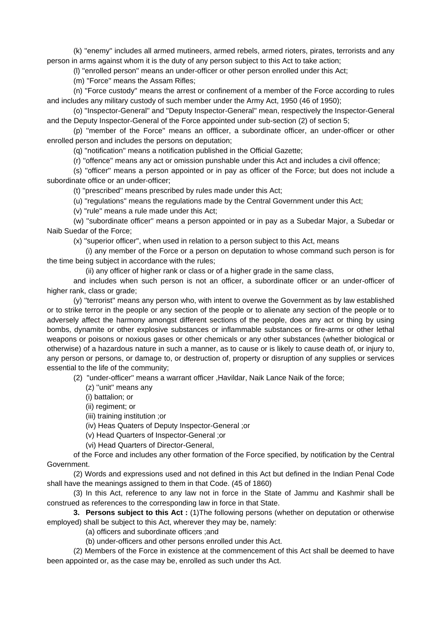(k) ''enemy'' includes all armed mutineers, armed rebels, armed rioters, pirates, terrorists and any person in arms against whom it is the duty of any person subject to this Act to take action;

(l) ''enrolled person'' means an under-officer or other person enrolled under this Act;

(m) ''Force'' means the Assam Rifles;

 (n) ''Force custody'' means the arrest or confinement of a member of the Force according to rules and includes any military custody of such member under the Army Act, 1950 (46 of 1950);

 (o) ''Inspector-General'' and ''Deputy Inspector-General'' mean, respectively the Inspector-General and the Deputy Inspector-General of the Force appointed under sub-section (2) of section 5;

 (p) ''member of the Force'' means an offficer, a subordinate officer, an under-officer or other enrolled person and includes the persons on deputation;

(q) ''notification'' means a notification published in the Official Gazette;

(r) ''offence'' means any act or omission punshable under this Act and includes a civil offence;

 (s) ''officer'' means a person appointed or in pay as officer of the Force; but does not include a subordinate office or an under-officer;

(t) ''prescribed'' means prescribed by rules made under this Act;

(u) ''regulations'' means the regulations made by the Central Government under this Act;

(v) ''rule'' means a rule made under this Act;

 (w) ''subordinate officer'' means a person appointed or in pay as a Subedar Major, a Subedar or Naib Suedar of the Force;

(x) ''superior officer'', when used in relation to a person subject to this Act, means

 (i) any member of the Force or a person on deputation to whose command such person is for the time being subject in accordance with the rules;

(ii) any officer of higher rank or class or of a higher grade in the same class,

 and includes when such person is not an officer, a subordinate officer or an under-officer of higher rank, class or grade;

 (y) ''terrorist'' means any person who, with intent to overwe the Government as by law established or to strike terror in the people or any section of the people or to alienate any section of the people or to adversely affect the harmony amongst different sections of the people, does any act or thing by using bombs, dynamite or other explosive substances or inflammable substances or fire-arms or other lethal weapons or poisons or noxious gases or other chemicals or any other substances (whether biological or otherwise) of a hazardous nature in such a manner, as to cause or is likely to cause death of, or injury to, any person or persons, or damage to, or destruction of, property or disruption of any supplies or services essential to the life of the community;

(2) ''under-officer'' means a warrant officer ,Havildar, Naik Lance Naik of the force;

(z) ''unit'' means any

(i) battalion; or

(ii) regiment; or

(iii) training institution ;or

(iv) Heas Quaters of Deputy Inspector-General ;or

(v) Head Quarters of Inspector-General ;or

(vi) Head Quarters of Director-General,

 of the Force and includes any other formation of the Force specified, by notification by the Central Government.

 (2) Words and expressions used and not defined in this Act but defined in the Indian Penal Code shall have the meanings assigned to them in that Code. (45 of 1860)

 (3) In this Act, reference to any law not in force in the State of Jammu and Kashmir shall be construed as references to the corresponding law in force in that State.

**3. Persons subject to this Act :** (1)The following persons (whether on deputation or otherwise employed) shall be subject to this Act, wherever they may be, namely:

(a) officers and subordinate officers ;and

(b) under-officers and other persons enrolled under this Act.

 (2) Members of the Force in existence at the commencement of this Act shall be deemed to have been appointed or, as the case may be, enrolled as such under ths Act.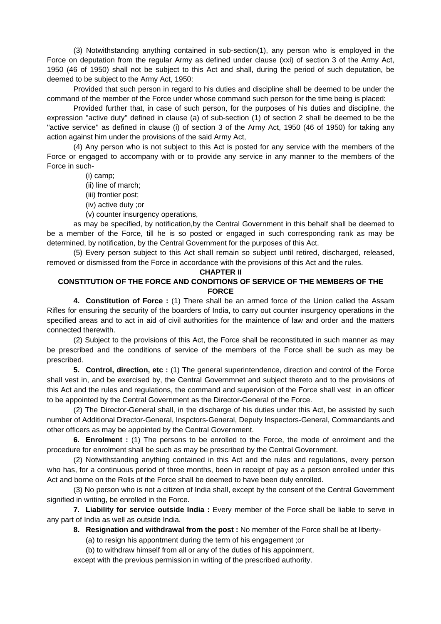(3) Notwithstanding anything contained in sub-section(1), any person who is employed in the Force on deputation from the regular Army as defined under clause (xxi) of section 3 of the Army Act, 1950 (46 of 1950) shall not be subject to this Act and shall, during the period of such deputation, be deemed to be subject to the Army Act, 1950:

 Provided that such person in regard to his duties and discipline shall be deemed to be under the command of the member of the Force under whose command such person for the time being is placed:

 Provided further that, in case of such person, for the purposes of his duties and discipline, the expression ''active duty'' defined in clause (a) of sub-section (1) of section 2 shall be deemed to be the "active service" as defined in clause (i) of section 3 of the Army Act, 1950 (46 of 1950) for taking any action against him under the provisions of the said Army Act,

 (4) Any person who is not subject to this Act is posted for any service with the members of the Force or engaged to accompany with or to provide any service in any manner to the members of the Force in such-

(i) camp;

- (ii) line of march;
- (iii) frontier post;
- (iv) active duty ;or

(v) counter insurgency operations,

 as may be specified, by notification,by the Central Government in this behalf shall be deemed to be a member of the Force, till he is so posted or engaged in such corresponding rank as may be determined, by notification, by the Central Government for the purposes of this Act.

 (5) Every person subject to this Act shall remain so subject until retired, discharged, released, removed or dismissed from the Force in accordance with the provisions of this Act and the rules.

#### **CHAPTER II**

## **CONSTITUTION OF THE FORCE AND CONDITIONS OF SERVICE OF THE MEMBERS OF THE FORCE**

 **4. Constitution of Force :** (1) There shall be an armed force of the Union called the Assam Rifles for ensuring the security of the boarders of India, to carry out counter insurgency operations in the specified areas and to act in aid of civil authorities for the maintence of law and order and the matters connected therewith.

 (2) Subject to the provisions of this Act, the Force shall be reconstituted in such manner as may be prescribed and the conditions of service of the members of the Force shall be such as may be prescribed.

**5. Control, direction, etc :** (1) The general superintendence, direction and control of the Force shall vest in, and be exercised by, the Central Governmnet and subject thereto and to the provisions of this Act and the rules and regulations, the command and supervision of the Force shall vest in an officer to be appointed by the Central Government as the Director-General of the Force.

 (2) The Director-General shall, in the discharge of his duties under this Act, be assisted by such number of Additional Director-General, Inspctors-General, Deputy Inspectors-General, Commandants and other officers as may be appointed by the Central Government.

**6. Enrolment :** (1) The persons to be enrolled to the Force, the mode of enrolment and the procedure for enrolment shall be such as may be prescribed by the Central Government.

 (2) Notwithstanding anything contained in this Act and the rules and regulations, every person who has, for a continuous period of three months, been in receipt of pay as a person enrolled under this Act and borne on the Rolls of the Force shall be deemed to have been duly enrolled.

 (3) No person who is not a citizen of India shall, except by the consent of the Central Government signified in writing, be enrolled in the Force.

**7. Liability for service outside India :** Every member of the Force shall be liable to serve in any part of India as well as outside India.

**8. Resignation and withdrawal from the post :** No member of the Force shall be at liberty-

(a) to resign his appontment during the term of his engagement ;or

(b) to withdraw himself from all or any of the duties of his appoinment,

except with the previous permission in writing of the prescribed authority.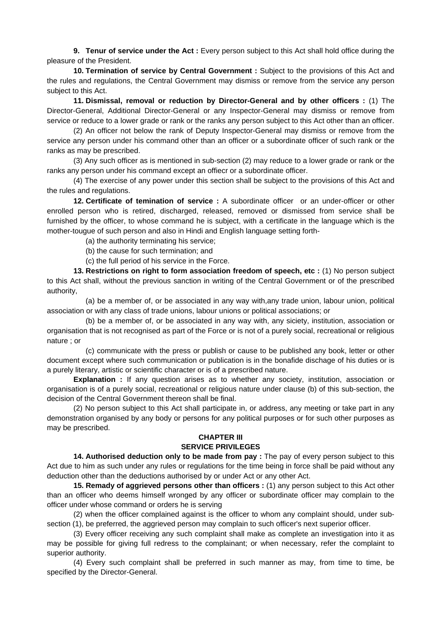**9. Tenur of service under the Act :** Every person subject to this Act shall hold office during the pleasure of the President.

**10. Termination of service by Central Government :** Subject to the provisions of this Act and the rules and regulations, the Central Government may dismiss or remove from the service any person subject to this Act.

**11. Dismissal, removal or reduction by Director-General and by other officers :** (1) The Director-General, Additional Director-General or any Inspector-General may dismiss or remove from service or reduce to a lower grade or rank or the ranks any person subject to this Act other than an officer.

 (2) An officer not below the rank of Deputy Inspector-General may dismiss or remove from the service any person under his command other than an officer or a subordinate officer of such rank or the ranks as may be prescribed.

 (3) Any such officer as is mentioned in sub-section (2) may reduce to a lower grade or rank or the ranks any person under his command except an offiecr or a subordinate officer.

 (4) The exercise of any power under this section shall be subject to the provisions of this Act and the rules and regulations.

**12. Certificate of temination of service :** A subordinate officer or an under-officer or other enrolled person who is retired, discharged, released, removed or dismissed from service shall be furnished by the officer, to whose command he is subject, with a certificate in the language which is the mother-tougue of such person and also in Hindi and English language setting forth-

(a) the authority terminating his service;

(b) the cause for such termination; and

(c) the full period of his service in the Force.

**13. Restrictions on right to form association freedom of speech, etc : (1) No person subject** to this Act shall, without the previous sanction in writing of the Central Government or of the prescribed authority,

 (a) be a member of, or be associated in any way with,any trade union, labour union, political association or with any class of trade unions, labour unions or political associations; or

 (b) be a member of, or be associated in any way with, any siciety, institution, association or organisation that is not recognised as part of the Force or is not of a purely social, recreational or religious nature ; or

 (c) communicate with the press or publish or cause to be published any book, letter or other document except where such communication or publication is in the bonafide dischage of his duties or is a purely literary, artistic or scientific character or is of a prescribed nature.

**Explanation :** If any question arises as to whether any society, institution, association or organisation is of a purely social, recreational or religious nature under clause (b) of this sub-section, the decision of the Central Government thereon shall be final.

 (2) No person subject to this Act shall participate in, or address, any meeting or take part in any demonstration organised by any body or persons for any political purposes or for such other purposes as may be prescribed.

### **CHAPTER III SERVICE PRIVILEGES**

 **14. Authorised deduction only to be made from pay :** The pay of every person subject to this Act due to him as such under any rules or regulations for the time being in force shall be paid without any deduction other than the deductions authorised by or under Act or any other Act.

**15. Remady of aggrieved persons other than officers :** (1) any person subject to this Act other than an officer who deems himself wronged by any officer or subordinate officer may complain to the officer under whose command or orders he is serving

 (2) when the officer complained against is the officer to whom any complaint should, under subsection (1), be preferred, the aggrieved person may complain to such officer's next superior officer.

 (3) Every officer receiving any such complaint shall make as complete an investigation into it as may be possible for giving full redress to the complainant; or when necessary, refer the complaint to superior authority.

 (4) Every such complaint shall be preferred in such manner as may, from time to time, be specified by the Director-General.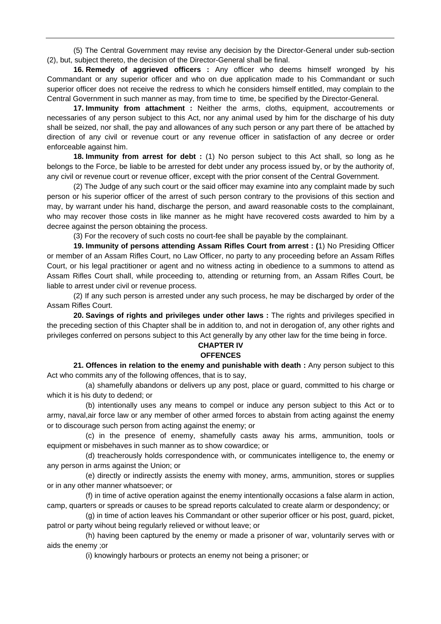(5) The Central Government may revise any decision by the Director-General under sub-section (2), but, subject thereto, the decision of the Director-General shall be final.

**16. Remedy of aggrieved officers :** Any officer who deems himself wronged by his Commandant or any superior officer and who on due application made to his Commandant or such superior officer does not receive the redress to which he considers himself entitled, may complain to the Central Government in such manner as may, from time to time, be specified by the Director-General.

**17. Immunity from attachment :** Neither the arms, cloths, equipment, accoutrements or necessaries of any person subject to this Act, nor any animal used by him for the discharge of his duty shall be seized, nor shall, the pay and allowances of any such person or any part there of be attached by direction of any civil or revenue court or any revenue officer in satisfaction of any decree or order enforceable against him.

**18. Immunity from arrest for debt :** (1) No person subject to this Act shall, so long as he belongs to the Force, be liable to be arrested for debt under any process issued by, or by the authority of, any civil or revenue court or revenue officer, except with the prior consent of the Central Government.

 (2) The Judge of any such court or the said officer may examine into any complaint made by such person or his superior officer of the arrest of such person contrary to the provisions of this section and may, by warrant under his hand, discharge the person, and award reasonable costs to the complainant, who may recover those costs in like manner as he might have recovered costs awarded to him by a decree against the person obtaining the process.

(3) For the recovery of such costs no court-fee shall be payable by the complainant.

**19. Immunity of persons attending Assam Rifles Court from arrest : (**1) No Presiding Officer or member of an Assam Rifles Court, no Law Officer, no party to any proceeding before an Assam Rifles Court, or his legal practitioner or agent and no witness acting in obedience to a summons to attend as Assam Rifles Court shall, while proceeding to, attending or returning from, an Assam Rifles Court, be liable to arrest under civil or revenue process.

 (2) If any such person is arrested under any such process, he may be discharged by order of the Assam Rifles Court.

**20. Savings of rights and privileges under other laws :** The rights and privileges specified in the preceding section of this Chapter shall be in addition to, and not in derogation of, any other rights and privileges conferred on persons subject to this Act generally by any other law for the time being in force.

## **CHAPTER IV OFFENCES**

 **21. Offences in relation to the enemy and punishable with death :** Any person subject to this Act who commits any of the following offences, that is to say,

 (a) shamefully abandons or delivers up any post, place or guard, committed to his charge or which it is his duty to dedend; or

 (b) intentionally uses any means to compel or induce any person subject to this Act or to army, naval,air force law or any member of other armed forces to abstain from acting against the enemy or to discourage such person from acting against the enemy; or

 (c) in the presence of enemy, shamefully casts away his arms, ammunition, tools or equipment or misbehaves in such manner as to show cowardice; or

 (d) treacherously holds correspondence with, or communicates intelligence to, the enemy or any person in arms against the Union; or

 (e) directly or indirectly assists the enemy with money, arms, ammunition, stores or supplies or in any other manner whatsoever; or

 (f) in time of active operation against the enemy intentionally occasions a false alarm in action, camp, quarters or spreads or causes to be spread reports calculated to create alarm or despondency; or

 (g) in time of action leaves his Commandant or other superior officer or his post, guard, picket, patrol or party wihout being regularly relieved or without leave; or

 (h) having been captured by the enemy or made a prisoner of war, voluntarily serves with or aids the enemy ;or

(i) knowingly harbours or protects an enemy not being a prisoner; or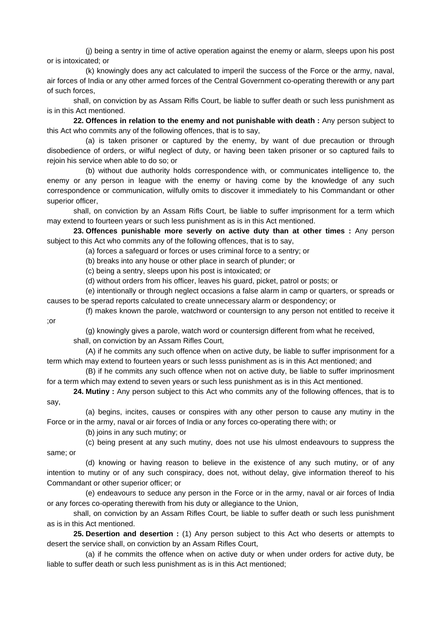(j) being a sentry in time of active operation against the enemy or alarm, sleeps upon his post or is intoxicated; or

 (k) knowingly does any act calculated to imperil the success of the Force or the army, naval, air forces of India or any other armed forces of the Central Government co-operating therewith or any part of such forces,

 shall, on conviction by as Assam Rifls Court, be liable to suffer death or such less punishment as is in this Act mentioned.

**22. Offences in relation to the enemy and not punishable with death :** Any person subject to this Act who commits any of the following offences, that is to say,

 (a) is taken prisoner or captured by the enemy, by want of due precaution or through disobedience of orders, or wilful neglect of duty, or having been taken prisoner or so captured fails to rejoin his service when able to do so; or

 (b) without due authority holds correspondence with, or communicates intelligence to, the enemy or any person in league with the enemy or having come by the knowledge of any such correspondence or communication, wilfully omits to discover it immediately to his Commandant or other superior officer,

 shall, on conviction by an Assam Rifls Court, be liable to suffer imprisonment for a term which may extend to fourteen years or such less punishment as is in this Act mentioned.

**23. Offences punishable more severly on active duty than at other times :** Any person subject to this Act who commits any of the following offences, that is to say,

(a) forces a safeguard or forces or uses criminal force to a sentry; or

(b) breaks into any house or other place in search of plunder; or

(c) being a sentry, sleeps upon his post is intoxicated; or

(d) without orders from his officer, leaves his guard, picket, patrol or posts; or

 (e) intentionally or through neglect occasions a false alarm in camp or quarters, or spreads or causes to be sperad reports calculated to create unnecessary alarm or despondency; or

 (f) makes known the parole, watchword or countersign to any person not entitled to receive it ;or

(g) knowingly gives a parole, watch word or countersign different from what he received,

shall, on conviction by an Assam Rifles Court,

 (A) if he commits any such offence when on active duty, be liable to suffer imprisonment for a term which may extend to fourteen years or such lesss punishment as is in this Act mentioned; and

 (B) if he commits any such offence when not on active duty, be liable to suffer imprinosment for a term which may extend to seven years or such less punishment as is in this Act mentioned.

**24. Mutiny :** Any person subject to this Act who commits any of the following offences, that is to say,

 (a) begins, incites, causes or conspires with any other person to cause any mutiny in the Force or in the army, naval or air forces of India or any forces co-operating there with; or

(b) joins in any such mutiny; or

 (c) being present at any such mutiny, does not use his ulmost endeavours to suppress the same; or

 (d) knowing or having reason to believe in the existence of any such mutiny, or of any intention to mutiny or of any such conspiracy, does not, without delay, give information thereof to his Commandant or other superior officer; or

 (e) endeavours to seduce any person in the Force or in the army, naval or air forces of India or any forces co-operating therewith from his duty or allegiance to the Union,

 shall, on conviction by an Assam Rifles Court, be liable to suffer death or such less punishment as is in this Act mentioned.

**25. Desertion and desertion :** (1) Any person subject to this Act who deserts or attempts to desert the service shall, on conviction by an Assam Rifles Court,

 (a) if he commits the offence when on active duty or when under orders for active duty, be liable to suffer death or such less punishment as is in this Act mentioned;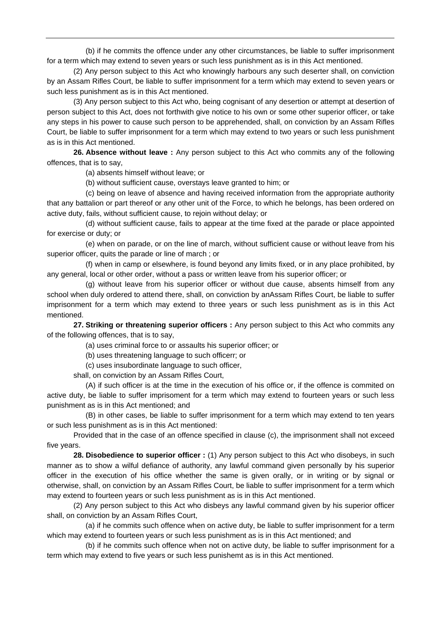(b) if he commits the offence under any other circumstances, be liable to suffer imprisonment for a term which may extend to seven years or such less punishment as is in this Act mentioned.

 (2) Any person subject to this Act who knowingly harbours any such deserter shall, on conviction by an Assam Rifles Court, be liable to suffer imprisonment for a term which may extend to seven years or such less punishment as is in this Act mentioned.

 (3) Any person subject to this Act who, being cognisant of any desertion or attempt at desertion of person subject to this Act, does not forthwith give notice to his own or some other superior officer, or take any steps in his power to cause such person to be apprehended, shall, on conviction by an Assam Rifles Court, be liable to suffer imprisonment for a term which may extend to two years or such less punishment as is in this Act mentioned.

**26. Absence without leave :** Any person subject to this Act who commits any of the following offences, that is to say,

(a) absents himself without leave; or

(b) without sufficient cause, overstays leave granted to him; or

 (c) being on leave of absence and having received information from the appropriate authority that any battalion or part thereof or any other unit of the Force, to which he belongs, has been ordered on active duty, fails, without sufficient cause, to rejoin without delay; or

 (d) without sufficient cause, fails to appear at the time fixed at the parade or place appointed for exercise or duty; or

 (e) when on parade, or on the line of march, without sufficient cause or without leave from his superior officer, quits the parade or line of march ; or

 (f) when in camp or elsewhere, is found beyond any limits fixed, or in any place prohibited, by any general, local or other order, without a pass or written leave from his superior officer; or

 (g) without leave from his superior officer or without due cause, absents himself from any school when duly ordered to attend there, shall, on conviction by anAssam Rifles Court, be liable to suffer imprisonment for a term which may extend to three years or such less punishment as is in this Act mentioned.

**27. Striking or threatening superior officers :** Any person subject to this Act who commits any of the following offences, that is to say,

(a) uses criminal force to or assaults his superior officer; or

(b) uses threatening language to such officerr; or

(c) uses insubordinate language to such officer,

shall, on conviction by an Assam Rifles Court,

 (A) if such officer is at the time in the execution of his office or, if the offence is commited on active duty, be liable to suffer imprisoment for a term which may extend to fourteen years or such less punishment as is in this Act mentioned; and

 (B) in other cases, be liable to suffer imprisonment for a term which may extend to ten years or such less punishment as is in this Act mentioned:

 Provided that in the case of an offence specified in clause (c), the imprisonment shall not exceed five years.

**28. Disobedience to superior officer :** (1) Any person subject to this Act who disobeys, in such manner as to show a wilful defiance of authority, any lawful command given personally by his superior officer in the execution of his office whether the same is given orally, or in writing or by signal or otherwise, shall, on conviction by an Assam Rifles Court, be liable to suffer imprisonment for a term which may extend to fourteen years or such less punishment as is in this Act mentioned.

 (2) Any person subject to this Act who disbeys any lawful command given by his superior officer shall, on conviction by an Assam Rifles Court,

 (a) if he commits such offence when on active duty, be liable to suffer imprisonment for a term which may extend to fourteen years or such less punishment as is in this Act mentioned; and

 (b) if he commits such offence when not on active duty, be liable to suffer imprisonment for a term which may extend to five years or such less punishemt as is in this Act mentioned.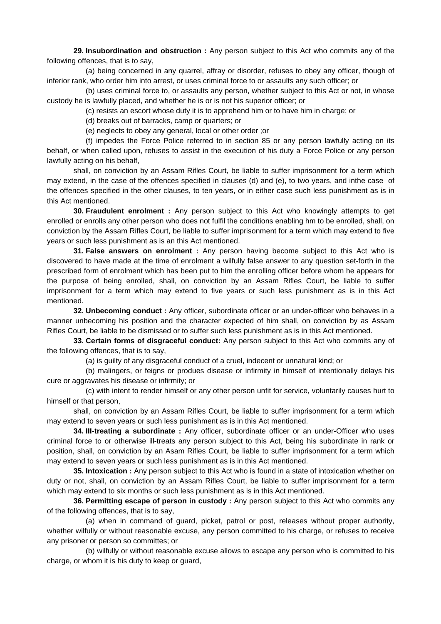**29. Insubordination and obstruction :** Any person subject to this Act who commits any of the following offences, that is to say,

 (a) being concerned in any quarrel, affray or disorder, refuses to obey any officer, though of inferior rank, who order him into arrest, or uses criminal force to or assaults any such officer; or

 (b) uses criminal force to, or assaults any person, whether subject to this Act or not, in whose custody he is lawfully placed, and whether he is or is not his superior officer; or

(c) resists an escort whose duty it is to apprehend him or to have him in charge; or

(d) breaks out of barracks, camp or quarters; or

(e) neglects to obey any general, local or other order ;or

 (f) impedes the Force Police referred to in section 85 or any person lawfully acting on its behalf, or when called upon, refuses to assist in the execution of his duty a Force Police or any person lawfully acting on his behalf,

 shall, on conviction by an Assam Rifles Court, be liable to suffer imprisonment for a term which may extend, in the case of the offences specified in clauses (d) and (e), to two years, and inthe case of the offences specified in the other clauses, to ten years, or in either case such less punishment as is in this Act mentioned.

**30. Fraudulent enrolment :** Any person subject to this Act who knowingly attempts to get enrolled or enrolls any other person who does not fulfil the conditions enabling hm to be enrolled, shall, on conviction by the Assam Rifles Court, be liable to suffer imprisonment for a term which may extend to five years or such less punishment as is an this Act mentioned.

**31. False answers on enrolment :** Any person having become subject to this Act who is discovered to have made at the time of enrolment a wilfully false answer to any question set-forth in the prescribed form of enrolment which has been put to him the enrolling officer before whom he appears for the purpose of being enrolled, shall, on conviction by an Assam Rifles Court, be liable to suffer imprisonment for a term which may extend to five years or such less punishment as is in this Act mentioned.

**32. Unbecoming conduct :** Any officer, subordinate officer or an under-officer who behaves in a manner unbecoming his position and the character expected of him shall, on conviction by as Assam Rifles Court, be liable to be dismissed or to suffer such less punishment as is in this Act mentioned.

**33. Certain forms of disgraceful conduct:** Any person subject to this Act who commits any of the following offences, that is to say,

(a) is guilty of any disgraceful conduct of a cruel, indecent or unnatural kind; or

 (b) malingers, or feigns or produes disease or infirmity in himself of intentionally delays his cure or aggravates his disease or infirmity; or

 (c) with intent to render himself or any other person unfit for service, voluntarily causes hurt to himself or that person,

 shall, on conviction by an Assam Rifles Court, be liable to suffer imprisonment for a term which may extend to seven years or such less punishment as is in this Act mentioned.

**34. III-treating a subordinate :** Any officer, subordinate officer or an under-Officer who uses criminal force to or otherwise ill-treats any person subject to this Act, being his subordinate in rank or position, shall, on conviction by an Asam Rifles Court, be liable to suffer imprisonment for a term which may extend to seven years or such less punishment as is in this Act mentioned.

**35. Intoxication :** Any person subject to this Act who is found in a state of intoxication whether on duty or not, shall, on conviction by an Assam Rifles Court, be liable to suffer imprisonment for a term which may extend to six months or such less punishment as is in this Act mentioned.

**36. Permitting escape of person in custody :** Any person subject to this Act who commits any of the following offences, that is to say,

 (a) when in command of guard, picket, patrol or post, releases without proper authority, whether wilfully or without reasonable excuse, any person committed to his charge, or refuses to receive any prisoner or person so committes; or

 (b) wilfully or without reasonable excuse allows to escape any person who is committed to his charge, or whom it is his duty to keep or guard,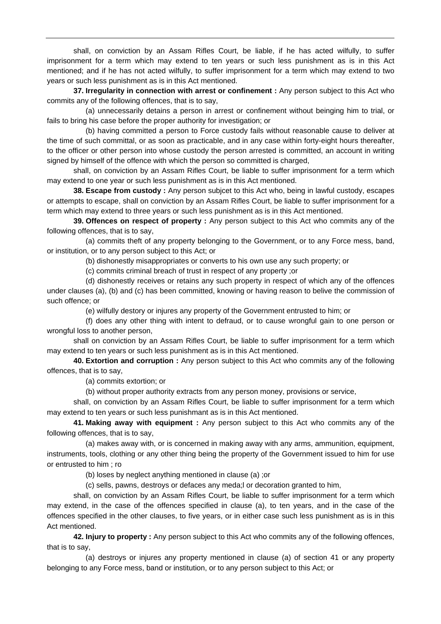shall, on conviction by an Assam Rifles Court, be liable, if he has acted wilfully, to suffer imprisonment for a term which may extend to ten years or such less punishment as is in this Act mentioned; and if he has not acted wilfully, to suffer imprisonment for a term which may extend to two years or such less punishment as is in this Act mentioned.

**37. Irregularity in connection with arrest or confinement :** Any person subject to this Act who commits any of the following offences, that is to say,

 (a) unnecessarily detains a person in arrest or confinement without beinging him to trial, or fails to bring his case before the proper authority for investigation; or

 (b) having committed a person to Force custody fails without reasonable cause to deliver at the time of such committal, or as soon as practicable, and in any case within forty-eight hours thereafter, to the officer or other person into whose custody the person arrested is committed, an account in writing signed by himself of the offence with which the person so committed is charged,

 shall, on conviction by an Assam Rifles Court, be liable to suffer imprisonment for a term which may extend to one year or such less punishment as is in this Act mentioned.

**38. Escape from custody :** Any person subjcet to this Act who, being in lawful custody, escapes or attempts to escape, shall on conviction by an Assam Rifles Court, be liable to suffer imprisonment for a term which may extend to three years or such less punishment as is in this Act mentioned.

**39. Offences on respect of property :** Any person subject to this Act who commits any of the following offences, that is to say,

 (a) commits theft of any property belonging to the Government, or to any Force mess, band, or institution, or to any person subject to this Act; or

(b) dishonestly misappropriates or converts to his own use any such property; or

(c) commits criminal breach of trust in respect of any property ;or

 (d) dishonestly receives or retains any such property in respect of which any of the offences under clauses (a), (b) and (c) has been committed, knowing or having reason to belive the commission of such offence; or

(e) wilfully destory or injures any property of the Government entrusted to him; or

 (f) does any other thing with intent to defraud, or to cause wrongful gain to one person or wrongful loss to another person,

 shall on conviction by an Assam Rifles Court, be liable to suffer imprisonment for a term which may extend to ten years or such less punishment as is in this Act mentioned.

**40. Extortion and corruption :** Any person subject to this Act who commits any of the following offences, that is to say,

(a) commits extortion; or

(b) without proper authority extracts from any person money, provisions or service,

 shall, on conviction by an Assam Rifles Court, be liable to suffer imprisonment for a term which may extend to ten years or such less punishmant as is in this Act mentioned.

**41. Making away with equipment :** Any person subject to this Act who commits any of the following offences, that is to say,

 (a) makes away with, or is concerned in making away with any arms, ammunition, equipment, instruments, tools, clothing or any other thing being the property of the Government issued to him for use or entrusted to him ; ro

(b) loses by neglect anything mentioned in clause (a) ;or

(c) sells, pawns, destroys or defaces any meda;l or decoration granted to him,

 shall, on conviction by an Assam Rifles Court, be liable to suffer imprisonment for a term which may extend, in the case of the offences specified in clause (a), to ten years, and in the case of the offences specified in the other clauses, to five years, or in either case such less punishment as is in this Act mentioned.

**42. Injury to property :** Any person subject to this Act who commits any of the following offences, that is to say,

 (a) destroys or injures any property mentioned in clause (a) of section 41 or any property belonging to any Force mess, band or institution, or to any person subject to this Act; or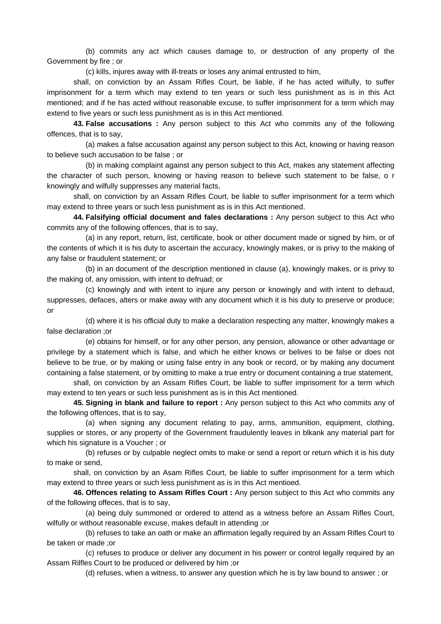(b) commits any act which causes damage to, or destruction of any property of the Government by fire ; or

(c) kills, injures away with ill-treats or loses any animal entrusted to him,

 shall, on conviction by an Assam Rifles Court, be liable, if he has acted wilfully, to suffer imprisonment for a term which may extend to ten years or such less punishment as is in this Act mentioned; and if he has acted without reasonable excuse, to suffer imprisonment for a term which may extend to five years or such less punishment as is in this Act mentioned.

**43. False accusations :** Any person subject to this Act who commits any of the following offences, that is to say,

 (a) makes a false accusation against any person subject to this Act, knowing or having reason to believe such accusation to be false ; or

 (b) in making complaint against any person subject to this Act, makes any statement affecting the character of such person, knowing or having reason to believe such statement to be false, o r knowingly and wilfully suppresses any material facts,

 shall, on conviction by an Assam Rifles Court, be liable to suffer imprisonment for a term which may extend to three years or such less punishment as is in this Act mentioned.

**44. Falsifying official document and fales declarations :** Any person subject to this Act who commits any of the following offences, that is to say,

 (a) in any report, return, list, certificate, book or other document made or signed by him, or of the contents of which it is his duty to ascertain the accuracy, knowingly makes, or is privy to the making of any false or fraudulent statement; or

 (b) in an document of the description mentioned in clause (a), knowingly makes, or is privy to the making of, any omission, with intent to defruad; or

 (c) knowingly and with intent to injure any person or knowingly and with intent to defraud, suppresses, defaces, alters or make away with any document which it is his duty to preserve or produce; or

 (d) where it is his official duty to make a declaration respecting any matter, knowingly makes a false declaration ;or

 (e) obtains for himself, or for any other person, any pension, allowance or other advantage or privilege by a statement which is false, and which he either knows or belives to be false or does not believe to be true, or by making or using false entry in any book or record, or by making any document containing a false statement, or by omitting to make a true entry or document containing a true statement,

 shall, on conviction by an Assam Rifles Court, be liable to suffer imprisoment for a term which may extend to ten years or such less punishment as is in this Act mentioned.

**45. Signing in blank and failure to report :** Any person subject to this Act who commits any of the following offences, that is to say,

 (a) when signing any document relating to pay, arms, ammunition, equipment, clothing, supplies or stores, or any property of the Government fraudulently leaves in blkank any material part for which his signature is a Voucher ; or

 (b) refuses or by culpable neglect omits to make or send a report or return which it is his duty to make or send,

 shall, on conviction by an Asam Rifles Court, be liable to suffer imprisonment for a term which may extend to three years or such less punishment as is in this Act mentioed.

**46. Offences relating to Assam Rifles Court :** Any person subject to this Act who commits any of the following offeces, that is to say,

 (a) being duly summoned or ordered to attend as a witness before an Assam Rifles Court, wilfully or without reasonable excuse, makes default in attending ;or

 (b) refuses to take an oath or make an affirmation legally required by an Assam Rifles Court to be taken or made ;or

 (c) refuses to produce or deliver any document in his powerr or control legally required by an Assam Rilfles Court to be produced or delivered by him ;or

(d) refuses, when a witness, to answer any question which he is by law bound to answer ; or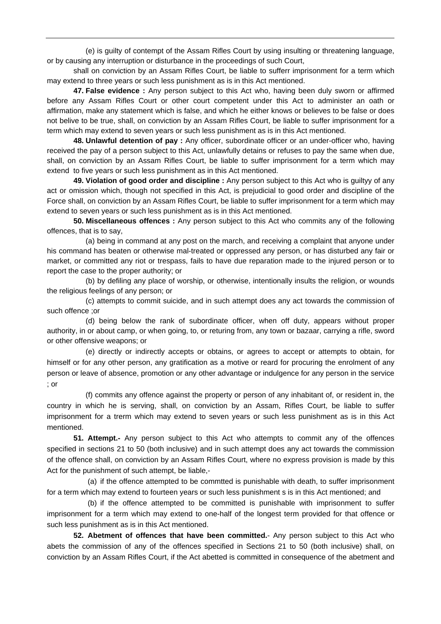(e) is guilty of contempt of the Assam Rifles Court by using insulting or threatening language, or by causing any interruption or disturbance in the proceedings of such Court,

 shall on conviction by an Assam Rifles Court, be liable to sufferr imprisonment for a term which may extend to three years or such less punishment as is in this Act mentioned.

**47. False evidence :** Any person subject to this Act who, having been duly sworn or affirmed before any Assam Rifles Court or other court competent under this Act to administer an oath or affirmation, make any statement which is false, and which he either knows or believes to be false or does not belive to be true, shall, on conviction by an Assam Rifles Court, be liable to suffer imprisonment for a term which may extend to seven years or such less punishment as is in this Act mentioned.

**48. Unlawful detention of pay :** Any officer, subordinate officer or an under-officer who, having received the pay of a person subject to this Act, unlawfully detains or refuses to pay the same when due, shall, on conviction by an Assam Rifles Court, be liable to suffer imprisonment for a term which may extend to five years or such less punishment as in this Act mentioned.

**49. Violation of good order and discipline :** Any person subject to this Act who is guiltyy of any act or omission which, though not specified in this Act, is prejudicial to good order and discipline of the Force shall, on conviction by an Assam Rifles Court, be liable to suffer imprisonment for a term which may extend to seven years or such less punishment as is in this Act mentioned.

**50. Miscellaneous offences :** Any person subject to this Act who commits any of the following offences, that is to say,

 (a) being in command at any post on the march, and receiving a complaint that anyone under his command has beaten or otherwise mal-treated or oppressed any person, or has disturbed any fair or market, or committed any riot or trespass, fails to have due reparation made to the injured person or to report the case to the proper authority; or

 (b) by defiling any place of worship, or otherwise, intentionally insults the religion, or wounds the religious feelings of any person; or

 (c) attempts to commit suicide, and in such attempt does any act towards the commission of such offence ;or

 (d) being below the rank of subordinate officer, when off duty, appears without proper authority, in or about camp, or when going, to, or returing from, any town or bazaar, carrying a rifle, sword or other offensive weapons; or

 (e) directly or indirectly accepts or obtains, or agrees to accept or attempts to obtain, for himself or for any other person, any gratification as a motive or reard for procuring the enrolment of any person or leave of absence, promotion or any other advantage or indulgence for any person in the service ; or

 (f) commits any offence against the property or person of any inhabitant of, or resident in, the country in which he is serving, shall, on conviction by an Assam, Rifles Court, be liable to suffer imprisonment for a trerm which may extend to seven years or such less punishment as is in this Act mentioned.

**51. Attempt.-** Any person subject to this Act who attempts to commit any of the offences specified in sections 21 to 50 (both inclusive) and in such attempt does any act towards the commission of the offence shall, on conviction by an Assam Rifles Court, where no express provision is made by this Act for the punishment of such attempt, be liable,-

 (a) if the offence attempted to be commtted is punishable with death, to suffer imprisonment for a term which may extend to fourteen years or such less punishment s is in this Act mentioned; and

 (b) if the offence attempted to be committed is punishable with imprisonment to suffer imprisonment for a term which may extend to one-half of the longest term provided for that offence or such less punishment as is in this Act mentioned.

**52. Abetment of offences that have been committed.**- Any person subject to this Act who abets the commission of any of the offences specified in Sections 21 to 50 (both inclusive) shall, on conviction by an Assam Rifles Court, if the Act abetted is committed in consequence of the abetment and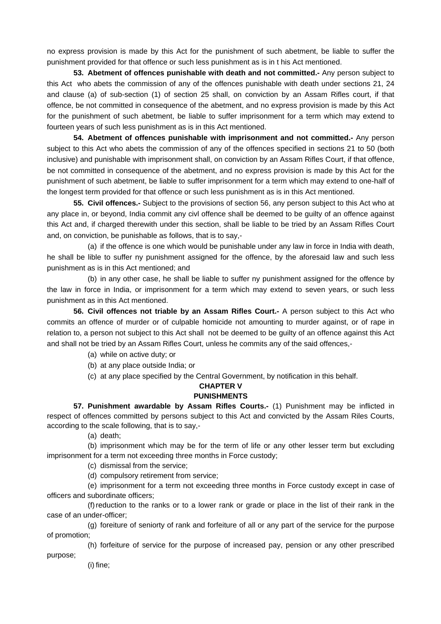no express provision is made by this Act for the punishment of such abetment, be liable to suffer the punishment provided for that offence or such less punishment as is in t his Act mentioned.

**53. Abetment of offences punishable with death and not committed.-** Any person subject to this Act who abets the commission of any of the offences punishable with death under sections 21, 24 and clause (a) of sub-section (1) of section 25 shall, on conviction by an Assam Rifles court, if that offence, be not committed in consequence of the abetment, and no express provision is made by this Act for the punishment of such abetment, be liable to suffer imprisonment for a term which may extend to fourteen years of such less punishment as is in this Act mentioned.

**54. Abetment of offences punishable with imprisonment and not committed.-** Any person subject to this Act who abets the commission of any of the offences specified in sections 21 to 50 (both inclusive) and punishable with imprisonment shall, on conviction by an Assam Rifles Court, if that offence, be not committed in consequence of the abetment, and no express provision is made by this Act for the punishment of such abetment, be liable to suffer imprisonment for a term which may extend to one-half of the longest term provided for that offence or such less punishment as is in this Act mentioned.

**55. Civil offences.-** Subject to the provisions of section 56, any person subject to this Act who at any place in, or beyond, India commit any civl offence shall be deemed to be guilty of an offence against this Act and, if charged therewith under this section, shall be liable to be tried by an Assam Rifles Court and, on conviction, be punishable as follows, that is to say,-

 (a) if the offence is one which would be punishable under any law in force in India with death, he shall be lible to suffer ny punishment assigned for the offence, by the aforesaid law and such less punishment as is in this Act mentioned; and

 (b) in any other case, he shall be liable to suffer ny punishment assigned for the offence by the law in force in India, or imprisonment for a term which may extend to seven years, or such less punishment as in this Act mentioned.

**56. Civil offences not triable by an Assam Rifles Court.-** A person subject to this Act who commits an offence of murder or of culpable homicide not amounting to murder against, or of rape in relation to, a person not subject to this Act shall not be deemed to be guilty of an offence against this Act and shall not be tried by an Assam Rifles Court, unless he commits any of the said offences,-

(a) while on active duty; or

(b) at any place outside India; or

(c) at any place specified by the Central Government, by notification in this behalf.

# **CHAPTER V**

## **PUNISHMENTS**

**57. Punishment awardable by Assam Rifles Courts.-** (1) Punishment may be inflicted in respect of offences committed by persons subject to this Act and convicted by the Assam Riles Courts, according to the scale following, that is to say,-

(a) death;

 (b) imprisonment which may be for the term of life or any other lesser term but excluding imprisonment for a term not exceeding three months in Force custody;

(c) dismissal from the service;

(d) compulsory retirement from service;

 (e) imprisonment for a term not exceeding three months in Force custody except in case of officers and subordinate officers;

 (f) reduction to the ranks or to a lower rank or grade or place in the list of their rank in the case of an under-officer;

 (g) foreiture of seniorty of rank and forfeiture of all or any part of the service for the purpose of promotion;

(h) forfeiture of service for the purpose of increased pay, pension or any other prescribed

purpose;

(i) fine;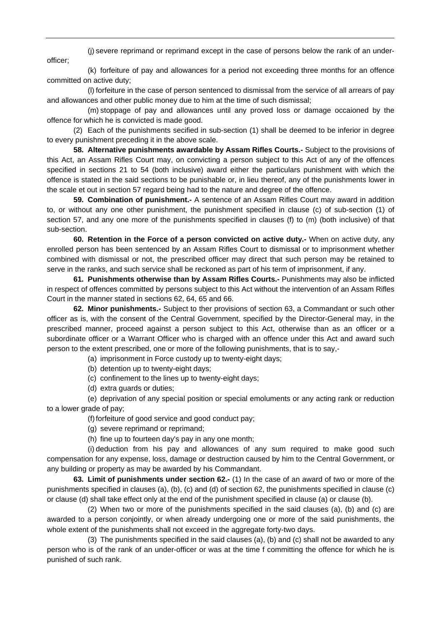(j) severe reprimand or reprimand except in the case of persons below the rank of an underofficer;

 (k) forfeiture of pay and allowances for a period not exceeding three months for an offence committed on active duty;

 (l) forfeiture in the case of person sentenced to dismissal from the service of all arrears of pay and allowances and other public money due to him at the time of such dismissal;

 (m) stoppage of pay and allowances until any proved loss or damage occaioned by the offence for which he is convicted is made good.

 (2) Each of the punishments secified in sub-section (1) shall be deemed to be inferior in degree to every punishment preceding it in the above scale.

**58. Alternative punishments awardable by Assam Rifles Courts.-** Subject to the provisions of this Act, an Assam Rifles Court may, on convicting a person subject to this Act of any of the offences specified in sections 21 to 54 (both inclusive) award either the particulars punishment with which the offence is stated in the said sections to be punishable or, in lieu thereof, any of the punishments lower in the scale et out in section 57 regard being had to the nature and degree of the offence.

**59. Combination of punishment.-** A sentence of an Assam Rifles Court may award in addition to, or without any one other punishment, the punishment specified in clause (c) of sub-section (1) of section 57, and any one more of the punishments specified in clauses (f) to (m) (both inclusive) of that sub-section.

**60. Retention in the Force of a person convicted on active duty.-** When on active duty, any enrolled person has been sentenced by an Assam Rifles Court to dismissal or to imprisonment whether combined with dismissal or not, the prescribed officer may direct that such person may be retained to serve in the ranks, and such service shall be reckoned as part of his term of imprisonment, if any.

**61. Punishments otherwise than by Assam Rifles Courts.-** Punishments may also be inflicted in respect of offences committed by persons subject to this Act without the intervention of an Assam Rifles Court in the manner stated in sections 62, 64, 65 and 66.

**62. Minor punishments.-** Subject to ther provisions of section 63, a Commandant or such other officer as is, with the consent of the Central Government, specified by the Director-General may, in the prescribed manner, proceed against a person subject to this Act, otherwise than as an officer or a subordinate officer or a Warrant Officer who is charged with an offence under this Act and award such person to the extent prescribed, one or more of the following punishments, that is to say,-

(a) imprisonment in Force custody up to twenty-eight days;

- (b) detention up to twenty-eight days;
- (c) confinement to the lines up to twenty-eight days;
- (d) extra guards or duties;

 (e) deprivation of any special position or special emoluments or any acting rank or reduction to a lower grade of pay;

(f) forfeiture of good service and good conduct pay;

- (g) severe reprimand or reprimand;
- (h) fine up to fourteen day's pay in any one month;

 (i) deduction from his pay and allowances of any sum required to make good such compensation for any expense, loss, damage or destruction caused by him to the Central Government, or any building or property as may be awarded by his Commandant.

**63. Limit of punishments under section 62.-** (1) In the case of an award of two or more of the punishments specified in clauses (a), (b), (c) and (d) of section 62, the punishments specified in clause (c) or clause (d) shall take effect only at the end of the punishment specified in clause (a) or clause (b).

 (2) When two or more of the punishments specified in the said clauses (a), (b) and (c) are awarded to a person conjointly, or when already undergoing one or more of the said punishments, the whole extent of the punishments shall not exceed in the aggregate forty-two days.

 (3) The punishments specified in the said clauses (a), (b) and (c) shall not be awarded to any person who is of the rank of an under-officer or was at the time f committing the offence for which he is punished of such rank.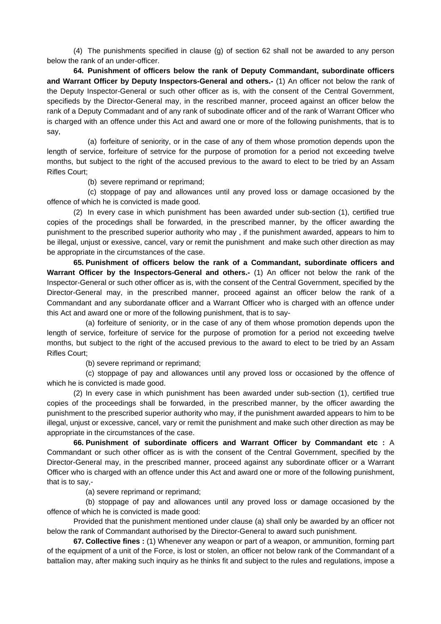(4) The punishments specified in clause (g) of section 62 shall not be awarded to any person below the rank of an under-officer.

**64. Punishment of officers below the rank of Deputy Commandant, subordinate officers and Warrant Officer by Deputy Inspectors-General and others.-** (1) An officer not below the rank of the Deputy Inspector-General or such other officer as is, with the consent of the Central Government, specifieds by the Director-General may, in the rescribed manner, proceed against an officer below the rank of a Deputy Commadant and of any rank of subodinate officer and of the rank of Warrant Officer who is charged with an offence under this Act and award one or more of the following punishments, that is to say,

 (a) forfeiture of seniority, or in the case of any of them whose promotion depends upon the length of service, forfeiture of setrvice for the purpose of promotion for a period not exceeding twelve months, but subject to the right of the accused previous to the award to elect to be tried by an Assam Rifles Court;

(b) severe reprimand or reprimand;

 (c) stoppage of pay and allowances until any proved loss or damage occasioned by the offence of which he is convicted is made good.

 (2) In every case in which punishment has been awarded under sub-section (1), certified true copies of the procedings shall be forwarded, in the prescribed manner, by the officer awarding the punishment to the prescribed superior authority who may , if the punishment awarded, appears to him to be illegal, unjust or exessive, cancel, vary or remit the punishment and make such other direction as may be appropriate in the circumstances of the case.

**65. Punishment of officers below the rank of a Commandant, subordinate officers and Warrant Officer by the Inspectors-General and others.-** (1) An officer not below the rank of the Inspector-General or such other officer as is, with the consent of the Central Government, specified by the Director-General may, in the prescribed manner, proceed against an officer below the rank of a Commandant and any subordanate officer and a Warrant Officer who is charged with an offence under this Act and award one or more of the following punishment, that is to say-

 (a) forfeiture of seniority, or in the case of any of them whose promotion depends upon the length of service, forfeiture of service for the purpose of promotion for a period not exceeding twelve months, but subject to the right of the accused previous to the award to elect to be tried by an Assam Rifles Court;

(b) severe reprimand or reprimand;

 (c) stoppage of pay and allowances until any proved loss or occasioned by the offence of which he is convicted is made good.

 (2) In every case in which punishment has been awarded under sub-section (1), certified true copies of the proceedings shall be forwarded, in the prescribed manner, by the officer awarding the punishment to the prescribed superior authority who may, if the punishment awarded appears to him to be illegal, unjust or excessive, cancel, vary or remit the punishment and make such other direction as may be appropriate in the circumstances of the case.

**66. Punishment of subordinate officers and Warrant Officer by Commandant etc :** A Commandant or such other officer as is with the consent of the Central Government, specified by the Director-General may, in the prescribed manner, proceed against any subordinate officer or a Warrant Officer who is charged with an offence under this Act and award one or more of the following punishment, that is to say,-

(a) severe reprimand or reprimand;

 (b) stoppage of pay and allowances until any proved loss or damage occasioned by the offence of which he is convicted is made good:

 Provided that the punishment mentioned under clause (a) shall only be awarded by an officer not below the rank of Commandant authorised by the Director-General to award such punishment.

**67. Collective fines :** (1) Whenever any weapon or part of a weapon, or ammunition, forming part of the equipment of a unit of the Force, is lost or stolen, an officer not below rank of the Commandant of a battalion may, after making such inquiry as he thinks fit and subject to the rules and regulations, impose a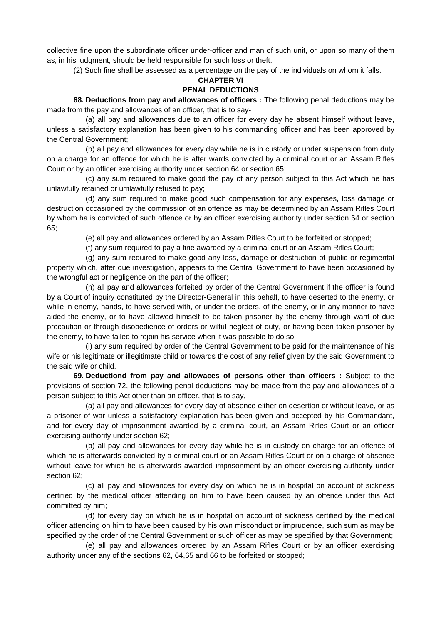collective fine upon the subordinate officer under-officer and man of such unit, or upon so many of them as, in his judgment, should be held responsible for such loss or theft.

(2) Such fine shall be assessed as a percentage on the pay of the individuals on whom it falls.

# **CHAPTER VI**

# **PENAL DEDUCTIONS**

 **68. Deductions from pay and allowances of officers :** The following penal deductions may be made from the pay and allowances of an officer, that is to say-

 (a) all pay and allowances due to an officer for every day he absent himself without leave, unless a satisfactory explanation has been given to his commanding officer and has been approved by the Central Government;

 (b) all pay and allowances for every day while he is in custody or under suspension from duty on a charge for an offence for which he is after wards convicted by a criminal court or an Assam Rifles Court or by an officer exercising authority under section 64 or section 65;

 (c) any sum required to make good the pay of any person subject to this Act which he has unlawfully retained or umlawfully refused to pay;

 (d) any sum required to make good such compensation for any expenses, loss damage or destruction occasioned by the commission of an offence as may be determined by an Assam Rifles Court by whom ha is convicted of such offence or by an officer exercising authority under section 64 or section 65;

(e) all pay and allowances ordered by an Assam Rifles Court to be forfeited or stopped;

(f) any sum required to pay a fine awarded by a criminal court or an Assam Rifles Court;

 (g) any sum required to make good any loss, damage or destruction of public or regimental property which, after due investigation, appears to the Central Government to have been occasioned by the wrongful act or negligence on the part of the officer;

 (h) all pay and allowances forfeited by order of the Central Government if the officer is found by a Court of inquiry constituted by the Director-General in this behalf, to have deserted to the enemy, or while in enemy, hands, to have served with, or under the orders, of the enemy, or in any manner to have aided the enemy, or to have allowed himself to be taken prisoner by the enemy through want of due precaution or through disobedience of orders or wilful neglect of duty, or having been taken prisoner by the enemy, to have failed to rejoin his service when it was possible to do so;

 (i) any sum required by order of the Central Government to be paid for the maintenance of his wife or his legitimate or illegitimate child or towards the cost of any relief given by the said Government to the said wife or child.

**69. Deductiond from pay and allowaces of persons other than officers :** Subject to the provisions of section 72, the following penal deductions may be made from the pay and allowances of a person subject to this Act other than an officer, that is to say,-

 (a) all pay and allowances for every day of absence either on desertion or without leave, or as a prisoner of war unless a satisfactory explanation has been given and accepted by his Commandant, and for every day of imprisonment awarded by a criminal court, an Assam Rifles Court or an officer exercising authority under section 62;

 (b) all pay and allowances for every day while he is in custody on charge for an offence of which he is afterwards convicted by a criminal court or an Assam Rifles Court or on a charge of absence without leave for which he is afterwards awarded imprisonment by an officer exercising authority under section 62;

 (c) all pay and allowances for every day on which he is in hospital on account of sickness certified by the medical officer attending on him to have been caused by an offence under this Act committed by him;

 (d) for every day on which he is in hospital on account of sickness certified by the medical officer attending on him to have been caused by his own misconduct or imprudence, such sum as may be specified by the order of the Central Government or such officer as may be specified by that Government;

 (e) all pay and allowances ordered by an Assam Rifles Court or by an officer exercising authority under any of the sections 62, 64,65 and 66 to be forfeited or stopped;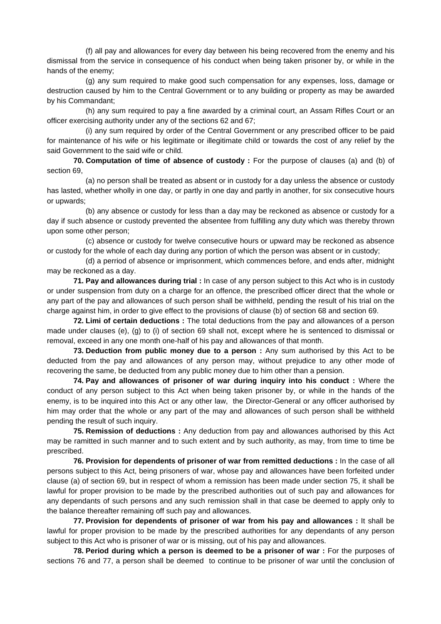(f) all pay and allowances for every day between his being recovered from the enemy and his dismissal from the service in consequence of his conduct when being taken prisoner by, or while in the hands of the enemy;

 (g) any sum required to make good such compensation for any expenses, loss, damage or destruction caused by him to the Central Government or to any building or property as may be awarded by his Commandant;

 (h) any sum required to pay a fine awarded by a criminal court, an Assam Rifles Court or an officer exercising authority under any of the sections 62 and 67;

 (i) any sum required by order of the Central Government or any prescribed officer to be paid for maintenance of his wife or his legitimate or illegitimate child or towards the cost of any relief by the said Government to the said wife or child.

**70. Computation of time of absence of custody :** For the purpose of clauses (a) and (b) of section 69,

 (a) no person shall be treated as absent or in custody for a day unless the absence or custody has lasted, whether wholly in one day, or partly in one day and partly in another, for six consecutive hours or upwards;

 (b) any absence or custody for less than a day may be reckoned as absence or custody for a day if such absence or custody prevented the absentee from fulfilling any duty which was thereby thrown upon some other person;

 (c) absence or custody for twelve consecutive hours or upward may be reckoned as absence or custody for the whole of each day during any portion of which the person was absent or in custody;

 (d) a perriod of absence or imprisonment, which commences before, and ends after, midnight may be reckoned as a day.

**71. Pay and allowances during trial :** In case of any person subject to this Act who is in custody or under suspension from duty on a charge for an offence, the prescribed officer direct that the whole or any part of the pay and allowances of such person shall be withheld, pending the result of his trial on the charge against him, in order to give effect to the provisions of clause (b) of section 68 and section 69.

**72. Limi of certain deductions :** The total deductions from the pay and allowances of a person made under clauses (e), (g) to (i) of section 69 shall not, except where he is sentenced to dismissal or removal, exceed in any one month one-half of his pay and allowances of that month.

**73. Deduction from public money due to a person :** Any sum authorised by this Act to be deducted from the pay and allowances of any person may, without prejudice to any other mode of recovering the same, be deducted from any public money due to him other than a pension.

**74. Pay and allowances of prisoner of war during inquiry into his conduct :** Where the conduct of any person subject to this Act when being taken prisoner by, or while in the hands of the enemy, is to be inquired into this Act or any other law, the Director-General or any officer authorised by him may order that the whole or any part of the may and allowances of such person shall be withheld pending the result of such inquiry.

**75. Remission of deductions :** Any deduction from pay and allowances authorised by this Act may be ramitted in such manner and to such extent and by such authority, as may, from time to time be prescribed.

**76. Provision for dependents of prisoner of war from remitted deductions :** In the case of all persons subject to this Act, being prisoners of war, whose pay and allowances have been forfeited under clause (a) of section 69, but in respect of whom a remission has been made under section 75, it shall be lawful for proper provision to be made by the prescribed authorities out of such pay and allowances for any dependants of such persons and any such remission shall in that case be deemed to apply only to the balance thereafter remaining off such pay and allowances.

**77. Provision for dependents of prisoner of war from his pay and allowances :** It shall be lawful for proper provision to be made by the prescribed authorities for any dependants of any person subject to this Act who is prisoner of war or is missing, out of his pay and allowances.

**78. Period during which a person is deemed to be a prisoner of war :** For the purposes of sections 76 and 77, a person shall be deemed to continue to be prisoner of war until the conclusion of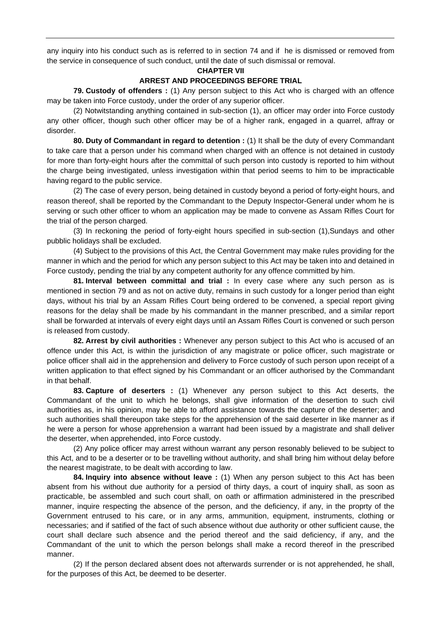any inquiry into his conduct such as is referred to in section 74 and if he is dismissed or removed from the service in consequence of such conduct, until the date of such dismissal or removal.

### **CHAPTER VII**

## **ARREST AND PROCEEDINGS BEFORE TRIAL**

 **79. Custody of offenders :** (1) Any person subject to this Act who is charged with an offence may be taken into Force custody, under the order of any superior officer.

 (2) Notwitstanding anything contained in sub-section (1), an officer may order into Force custody any other officer, though such other officer may be of a higher rank, engaged in a quarrel, affray or disorder.

**80. Duty of Commandant in regard to detention :** (1) It shall be the duty of every Commandant to take care that a person under his command when charged with an offence is not detained in custody for more than forty-eight hours after the committal of such person into custody is reported to him without the charge being investigated, unless investigation within that period seems to him to be impracticable having regard to the public service.

 (2) The case of every person, being detained in custody beyond a period of forty-eight hours, and reason thereof, shall be reported by the Commandant to the Deputy Inspector-General under whom he is serving or such other officer to whom an application may be made to convene as Assam Rifles Court for the trial of the person charged.

 (3) In reckoning the period of forty-eight hours specified in sub-section (1),Sundays and other pubblic holidays shall be excluded.

 (4) Subject to the provisions of this Act, the Central Government may make rules providing for the manner in which and the period for which any person subject to this Act may be taken into and detained in Force custody, pending the trial by any competent authority for any offence committed by him.

**81. Interval between committal and trial :** In every case where any such person as is mentioned in section 79 and as not on active duty, remains in such custody for a longer period than eight days, without his trial by an Assam Rifles Court being ordered to be convened, a special report giving reasons for the delay shall be made by his commandant in the manner prescribed, and a similar report shall be forwarded at intervals of every eight days until an Assam Rifles Court is convened or such person is released from custody.

**82. Arrest by civil authorities :** Whenever any person subject to this Act who is accused of an offence under this Act, is within the jurisdiction of any magistrate or police officer, such magistrate or police officer shall aid in the apprehension and delivery to Force custody of such person upon receipt of a written application to that effect signed by his Commandant or an officer authorised by the Commandant in that behalf.

**83. Capture of deserters :** (1) Whenever any person subject to this Act deserts, the Commandant of the unit to which he belongs, shall give information of the desertion to such civil authorities as, in his opinion, may be able to afford assistance towards the capture of the deserter; and such authorities shall thereupon take steps for the apprehension of the said deserter in like manner as if he were a person for whose apprehension a warrant had been issued by a magistrate and shall deliver the deserter, when apprehended, into Force custody.

 (2) Any police officer may arrest withoun warrant any person resonably believed to be subject to this Act, and to be a deserter or to be travelling without authority, and shall bring him without delay before the nearest magistrate, to be dealt with according to law.

**84. Inquiry into absence without leave :** (1) When any person subject to this Act has been absent from his without due authority for a persiod of thirty days, a court of inquiry shall, as soon as practicable, be assembled and such court shall, on oath or affirmation administered in the prescribed manner, inquire respecting the absence of the person, and the deficiency, if any, in the proprty of the Government entrused to his care, or in any arms, ammunition, equipment, instruments, clothing or necessaries; and if satified of the fact of such absence without due authority or other sufficient cause, the court shall declare such absence and the period thereof and the said deficiency, if any, and the Commandant of the unit to which the person belongs shall make a record thereof in the prescribed manner.

 (2) If the person declared absent does not afterwards surrender or is not apprehended, he shall, for the purposes of this Act, be deemed to be deserter.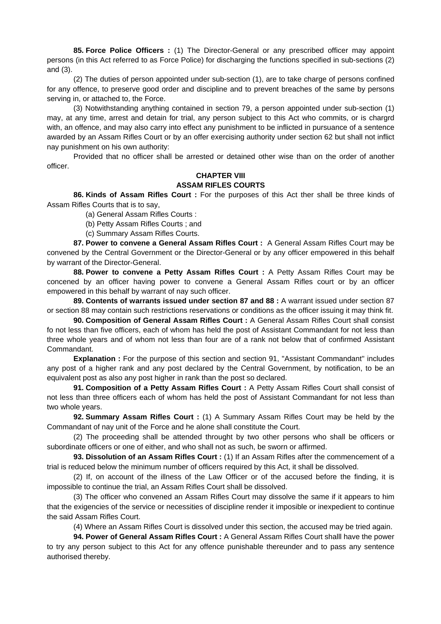**85. Force Police Officers :** (1) The Director-General or any prescribed officer may appoint persons (in this Act referred to as Force Police) for discharging the functions specified in sub-sections (2) and (3).

 (2) The duties of person appointed under sub-section (1), are to take charge of persons confined for any offence, to preserve good order and discipline and to prevent breaches of the same by persons serving in, or attached to, the Force.

 (3) Notwithstanding anything contained in section 79, a person appointed under sub-section (1) may, at any time, arrest and detain for trial, any person subject to this Act who commits, or is chargrd with, an offence, and may also carry into effect any punishment to be inflicted in pursuance of a sentence awarded by an Assam Rifles Court or by an offer exercising authority under section 62 but shall not inflict nay punishment on his own authority:

 Provided that no officer shall be arrested or detained other wise than on the order of another officer.

## **CHAPTER VIII ASSAM RIFLES COURTS**

 **86. Kinds of Assam Rifles Court :** For the purposes of this Act ther shall be three kinds of Assam Rifles Courts that is to say,

(a) General Assam Rifles Courts :

(b) Petty Assam Rifles Courts ; and

(c) Summary Assam Rifles Courts.

**87. Power to convene a General Assam Rifles Court :** A General Assam Rifles Court may be convened by the Central Government or the Director-General or by any officer empowered in this behalf by warrant of the Director-General.

 **88. Power to convene a Petty Assam Rifles Court :** A Petty Assam Rifles Court may be concened by an officer having power to convene a General Assam Rifles court or by an officer empowered in this behalf by warrant of nay such officer.

**89. Contents of warrants issued under section 87 and 88 :** A warrant issued under section 87 or section 88 may contain such restrictions reservations or conditions as the officer issuing it may think fit.

**90. Composition of General Assam Rifles Court :** A General Assam Rifles Court shall consist fo not less than five officers, each of whom has held the post of Assistant Commandant for not less than three whole years and of whom not less than four are of a rank not below that of confirmed Assistant Commandant.

**Explanation :** For the purpose of this section and section 91, "Assistant Commandant" includes any post of a higher rank and any post declared by the Central Government, by notification, to be an equivalent post as also any post higher in rank than the post so declared.

**91. Composition of a Petty Assam Rifles Court :** A Petty Assam Rifles Court shall consist of not less than three officers each of whom has held the post of Assistant Commandant for not less than two whole years.

**92. Summary Assam Rifles Court :** (1) A Summary Assam Rifles Court may be held by the Commandant of nay unit of the Force and he alone shall constitute the Court.

 (2) The proceeding shall be attended throught by two other persons who shall be officers or subordinate officers or one of either, and who shall not as such, be sworn or affirmed.

**93. Dissolution of an Assam Rifles Court :** (1) If an Assam Rifles after the commencement of a trial is reduced below the minimum number of officers required by this Act, it shall be dissolved.

 (2) If, on account of the illness of the Law Officer or of the accused before the finding, it is impossible to continue the trial, an Assam Rifles Court shall be dissolved.

 (3) The officer who convened an Assam Rifles Court may dissolve the same if it appears to him that the exigencies of the service or necessities of discipline render it imposible or inexpedient to continue the said Assam Rifles Court.

(4) Where an Assam Rifles Court is dissolved under this section, the accused may be tried again.

**94. Power of General Assam Rifles Court :** A General Assam Rifles Court shalll have the power to try any person subject to this Act for any offence punishable thereunder and to pass any sentence authorised thereby.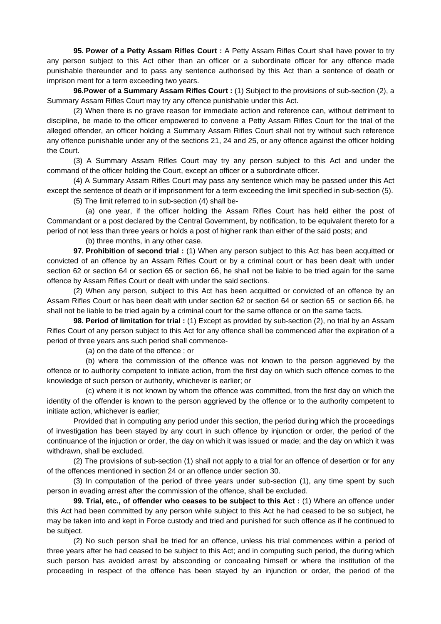**95. Power of a Petty Assam Rifles Court :** A Petty Assam Rifles Court shall have power to try any person subject to this Act other than an officer or a subordinate officer for any offence made punishable thereunder and to pass any sentence authorised by this Act than a sentence of death or imprison ment for a term exceeding two years.

**96.Power of a Summary Assam Rifles Court :** (1) Subject to the provisions of sub-section (2), a Summary Assam Rifles Court may try any offence punishable under this Act.

 (2) When there is no grave reason for immediate action and reference can, without detriment to discipline, be made to the officer empowered to convene a Petty Assam Rifles Court for the trial of the alleged offender, an officer holding a Summary Assam Rifles Court shall not try without such reference any offence punishable under any of the sections 21, 24 and 25, or any offence against the officer holding the Court.

 (3) A Summary Assam Rifles Court may try any person subject to this Act and under the command of the officer holding the Court, except an officer or a subordinate officer.

 (4) A Summary Assam Rifles Court may pass any sentence which may be passed under this Act except the sentence of death or if imprisonment for a term exceeding the limit specified in sub-section (5).

(5) The limit referred to in sub-section (4) shall be-

 (a) one year, if the officer holding the Assam Rifles Court has held either the post of Commandant or a post declared by the Central Government, by notification, to be equivalent thereto for a period of not less than three years or holds a post of higher rank than either of the said posts; and

(b) three months, in any other case.

**97. Prohibition of second trial :** (1) When any person subject to this Act has been acquitted or convicted of an offence by an Assam Rifles Court or by a criminal court or has been dealt with under section 62 or section 64 or section 65 or section 66, he shall not be liable to be tried again for the same offence by Assam Rifles Court or dealt with under the said sections.

 (2) When any person, subject to this Act has been acquitted or convicted of an offence by an Assam Rifles Court or has been dealt with under section 62 or section 64 or section 65 or section 66, he shall not be liable to be tried again by a criminal court for the same offence or on the same facts.

**98. Period of limitation for trial :** (1) Except as provided by sub-section (2), no trial by an Assam Rifles Court of any person subject to this Act for any offence shall be commenced after the expiration of a period of three years ans such period shall commence-

(a) on the date of the offence ; or

 (b) where the commission of the offence was not known to the person aggrieved by the offence or to authority competent to initiate action, from the first day on which such offence comes to the knowledge of such person or authority, whichever is earlier; or

 (c) where it is not known by whom the offence was committed, from the first day on which the identity of the offender is known to the person aggrieved by the offence or to the authority competent to initiate action, whichever is earlier;

 Provided that in computing any period under this section, the period during which the proceedings of investigation has been stayed by any court in such offence by injunction or order, the period of the continuance of the injuction or order, the day on which it was issued or made; and the day on which it was withdrawn, shall be excluded.

 (2) The provisions of sub-section (1) shall not apply to a trial for an offence of desertion or for any of the offences mentioned in section 24 or an offence under section 30.

 (3) In computation of the period of three years under sub-section (1), any time spent by such person in evading arrest after the commission of the offence, shall be excluded.

**99. Trial, etc., of offender who ceases to be subject to this Act :** (1) Where an offence under this Act had been committed by any person while subject to this Act he had ceased to be so subject, he may be taken into and kept in Force custody and tried and punished for such offence as if he continued to be subject.

 (2) No such person shall be tried for an offence, unless his trial commences within a period of three years after he had ceased to be subject to this Act; and in computing such period, the during which such person has avoided arrest by absconding or concealing himself or where the institution of the proceeding in respect of the offence has been stayed by an injunction or order, the period of the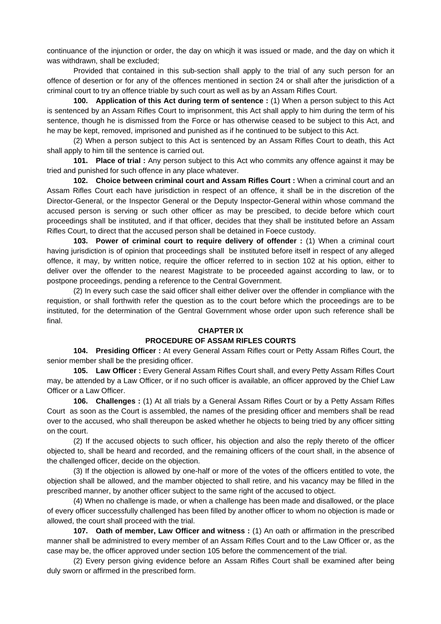continuance of the injunction or order, the day on whicjh it was issued or made, and the day on which it was withdrawn, shall be excluded;

 Provided that contained in this sub-section shall apply to the trial of any such person for an offence of desertion or for any of the offences mentioned in section 24 or shall after the jurisdiction of a criminal court to try an offence triable by such court as well as by an Assam Rifles Court.

**100. Application of this Act during term of sentence :** (1) When a person subject to this Act is sentenced by an Assam Rifles Court to imprisonment, this Act shall apply to him during the term of his sentence, though he is dismissed from the Force or has otherwise ceased to be subject to this Act, and he may be kept, removed, imprisoned and punished as if he continued to be subject to this Act.

 (2) When a person subject to this Act is sentenced by an Assam Rifles Court to death, this Act shall apply to him till the sentence is carried out.

**101. Place of trial :** Any person subject to this Act who commits any offence against it may be tried and punished for such offence in any place whatever.

**102. Choice between criminal court and Assam Rifles Court :** When a criminal court and an Assam Rifles Court each have jurisdiction in respect of an offence, it shall be in the discretion of the Director-General, or the Inspector General or the Deputy Inspector-General within whose command the accused person is serving or such other officer as may be prescibed, to decide before which court proceedings shall be instituted, and if that officer, decides that they shall be instituted before an Assam Rifles Court, to direct that the accused person shall be detained in Foece custody.

**103. Power of criminal court to require delivery of offender :** (1) When a criminal court having jurisdiction is of opinion that proceedings shall be instituted before itself in respect of any alleged offence, it may, by written notice, require the officer referred to in section 102 at his option, either to deliver over the offender to the nearest Magistrate to be proceeded against according to law, or to postpone proceedings, pending a reference to the Central Government.

 (2) In every such case the said officer shall either deliver over the offender in compliance with the requistion, or shall forthwith refer the question as to the court before which the proceedings are to be instituted, for the determination of the Gentral Government whose order upon such reference shall be final.

### **CHAPTER IX**

## **PROCEDURE OF ASSAM RIFLES COURTS**

 **104. Presiding Officer :** At every General Assam Rifles court or Petty Assam Rifles Court, the senior member shall be the presiding officer.

**105. Law Officer:** Every General Assam Rifles Court shall, and every Petty Assam Rifles Court may, be attended by a Law Officer, or if no such officer is available, an officer approved by the Chief Law Officer or a Law Officer.

**106. Challenges :** (1) At all trials by a General Assam Rifles Court or by a Petty Assam Rifles Court as soon as the Court is assembled, the names of the presiding officer and members shall be read over to the accused, who shall thereupon be asked whether he objects to being tried by any officer sitting on the court.

 (2) If the accused objects to such officer, his objection and also the reply thereto of the officer objected to, shall be heard and recorded, and the remaining officers of the court shall, in the absence of the challenged officer, decide on the objection.

 (3) If the objection is allowed by one-half or more of the votes of the officers entitled to vote, the objection shall be allowed, and the mamber objected to shall retire, and his vacancy may be filled in the prescribed manner, by another officer subject to the same right of the accused to object.

 (4) When no challenge is made, or when a challenge has been made and disallowed, or the place of every officer successfully challenged has been filled by another officer to whom no objection is made or allowed, the court shall proceed with the trial.

**107. Oath of member, Law Officer and witness :** (1) An oath or affirmation in the prescribed manner shall be administred to every member of an Assam Rifles Court and to the Law Officer or, as the case may be, the officer approved under section 105 before the commencement of the trial.

 (2) Every person giving evidence before an Assam Rifles Court shall be examined after being duly sworn or affirmed in the prescribed form.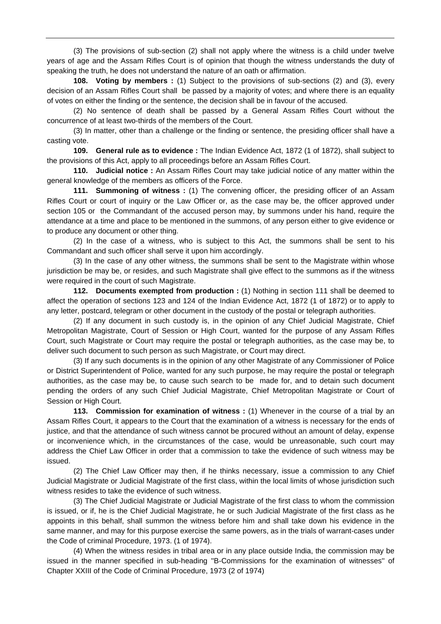(3) The provisions of sub-section (2) shall not apply where the witness is a child under twelve years of age and the Assam Rifles Court is of opinion that though the witness understands the duty of speaking the truth, he does not understand the nature of an oath or affirmation.

**108. Voting by members :** (1) Subject to the provisions of sub-sections (2) and (3), every decision of an Assam Rifles Court shall be passed by a majority of votes; and where there is an equality of votes on either the finding or the sentence, the decision shall be in favour of the accused.

 (2) No sentence of death shall be passed by a General Assam Rifles Court without the concurrence of at least two-thirds of the members of the Court.

 (3) In matter, other than a challenge or the finding or sentence, the presiding officer shall have a casting vote.

**109. General rule as to evidence :** The Indian Evidence Act, 1872 (1 of 1872), shall subject to the provisions of this Act, apply to all proceedings before an Assam Rifles Court.

**110. Judicial notice :** An Assam Rifles Court may take judicial notice of any matter within the general knowledge of the members as officers of the Force.

**111. Summoning of witness :** (1) The convening officer, the presiding officer of an Assam Rifles Court or court of inquiry or the Law Officer or, as the case may be, the officer approved under section 105 or the Commandant of the accused person may, by summons under his hand, require the attendance at a time and place to be mentioned in the summons, of any person either to give evidence or to produce any document or other thing.

 (2) In the case of a witness, who is subject to this Act, the summons shall be sent to his Commandant and such officer shall serve it upon him accordingly.

 (3) In the case of any other witness, the summons shall be sent to the Magistrate within whose jurisdiction be may be, or resides, and such Magistrate shall give effect to the summons as if the witness were required in the court of such Magistrate.

**112. Documents exempted from production :** (1) Nothing in section 111 shall be deemed to affect the operation of sections 123 and 124 of the Indian Evidence Act, 1872 (1 of 1872) or to apply to any letter, postcard, telegram or other document in the custody of the postal or telegraph authorities.

 (2) If any document in such custody is, in the opinion of any Chief Judicial Magistrate, Chief Metropolitan Magistrate, Court of Session or High Court, wanted for the purpose of any Assam Rifles Court, such Magistrate or Court may require the postal or telegraph authorities, as the case may be, to deliver such document to such person as such Magistrate, or Court may direct.

 (3) If any such documents is in the opinion of any other Magistrate of any Commissioner of Police or District Superintendent of Police, wanted for any such purpose, he may require the postal or telegraph authorities, as the case may be, to cause such search to be made for, and to detain such document pending the orders of any such Chief Judicial Magistrate, Chief Metropolitan Magistrate or Court of Session or High Court.

**113. Commission for examination of witness** : (1) Whenever in the course of a trial by an Assam Rifles Court, it appears to the Court that the examination of a witness is necessary for the ends of justice, and that the attendance of such witness cannot be procured without an amount of delay, expense or inconvenience which, in the circumstances of the case, would be unreasonable, such court may address the Chief Law Officer in order that a commission to take the evidence of such witness may be issued.

 (2) The Chief Law Officer may then, if he thinks necessary, issue a commission to any Chief Judicial Magistrate or Judicial Magistrate of the first class, within the local limits of whose jurisdiction such witness resides to take the evidence of such witness.

 (3) The Chief Judicial Magistrate or Judicial Magistrate of the first class to whom the commission is issued, or if, he is the Chief Judicial Magistrate, he or such Judicial Magistrate of the first class as he appoints in this behalf, shall summon the witness before him and shall take down his evidence in the same manner, and may for this purpose exercise the same powers, as in the trials of warrant-cases under the Code of criminal Procedure, 1973. (1 of 1974).

 (4) When the witness resides in tribal area or in any place outside India, the commission may be issued in the manner specified in sub-heading ''B-Commissions for the examination of witnesses'' of Chapter XXIII of the Code of Criminal Procedure, 1973 (2 of 1974)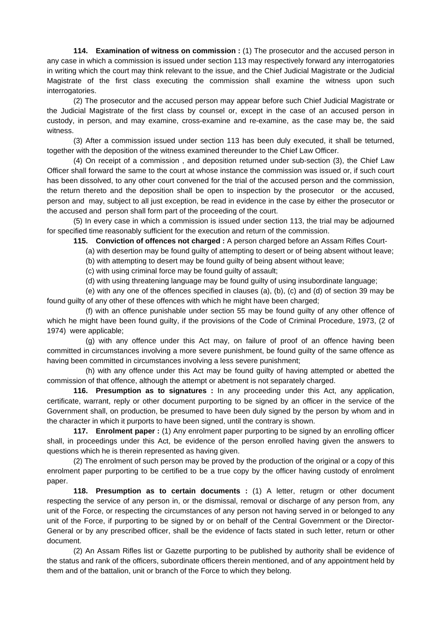**114. Examination of witness on commission :** (1) The prosecutor and the accused person in any case in which a commission is issued under section 113 may respectively forward any interrogatories in writing which the court may think relevant to the issue, and the Chief Judicial Magistrate or the Judicial Magistrate of the first class executing the commission shall examine the witness upon such interrogatories.

 (2) The prosecutor and the accused person may appear before such Chief Judicial Magistrate or the Judicial Magistrate of the first class by counsel or, except in the case of an accused person in custody, in person, and may examine, cross-examine and re-examine, as the case may be, the said witness.

 (3) After a commission issued under section 113 has been duly executed, it shall be teturned, together with the deposition of the witness examined thereunder to the Chief Law Officer.

 (4) On receipt of a commission , and deposition returned under sub-section (3), the Chief Law Officer shall forward the same to the court at whose instance the commission was issued or, if such court has been dissolved, to any other court convened for the trial of the accused person and the commission, the return thereto and the deposition shall be open to inspection by the prosecutor or the accused, person and may, subject to all just exception, be read in evidence in the case by either the prosecutor or the accused and person shall form part of the proceeding of the court.

 (5) In every case in which a commission is issued under section 113, the trial may be adjourned for specified time reasonably sufficient for the execution and return of the commission.

**115. Conviction of offences not charged :** A person charged before an Assam Rifles Court-

(a) with desertion may be found guilty of attempting to desert or of being absent without leave;

(b) with attempting to desert may be found guilty of being absent without leave;

(c) with using criminal force may be found guilty of assault;

(d) with using threatening language may be found guilty of using insubordinate language;

 (e) with any one of the offences specified in clauses (a), (b), (c) and (d) of section 39 may be found guilty of any other of these offences with which he might have been charged;

 (f) with an offence punishable under section 55 may be found guilty of any other offence of which he might have been found guilty, if the provisions of the Code of Criminal Procedure, 1973, (2 of 1974) were applicable;

 (g) with any offence under this Act may, on failure of proof of an offence having been committed in circumstances involving a more severe punishment, be found guilty of the same offence as having been committed in circumstances involving a less severe punishment;

 (h) with any offence under this Act may be found guilty of having attempted or abetted the commission of that offence, although the attempt or abetment is not separately charged.

**116. Presumption as to signatures :** In any proceeding under this Act, any application, certificate, warrant, reply or other document purporting to be signed by an officer in the service of the Government shall, on production, be presumed to have been duly signed by the person by whom and in the character in which it purports to have been signed, until the contrary is shown.

**117. Enrolment paper :** (1) Any enrolment paper purporting to be signed by an enrolling officer shall, in proceedings under this Act, be evidence of the person enrolled having given the answers to questions which he is therein represented as having given.

 (2) The enrolment of such person may be proved by the production of the original or a copy of this enrolment paper purporting to be certified to be a true copy by the officer having custody of enrolment paper.

**118. Presumption as to certain documents :** (1) A letter, retugrn or other document respecting the service of any person in, or the dismissal, removal or discharge of any person from, any unit of the Force, or respecting the circumstances of any person not having served in or belonged to any unit of the Force, if purporting to be signed by or on behalf of the Central Government or the Director-General or by any prescribed officer, shall be the evidence of facts stated in such letter, return or other document.

 (2) An Assam Rifles list or Gazette purporting to be published by authority shall be evidence of the status and rank of the officers, subordinate officers therein mentioned, and of any appointment held by them and of the battalion, unit or branch of the Force to which they belong.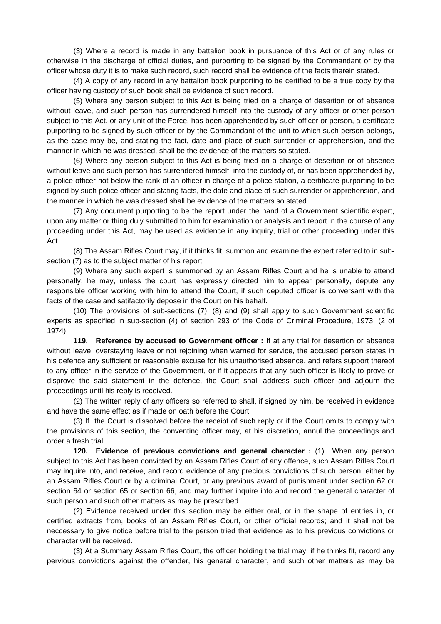(3) Where a record is made in any battalion book in pursuance of this Act or of any rules or otherwise in the discharge of official duties, and purporting to be signed by the Commandant or by the officer whose duty it is to make such record, such record shall be evidence of the facts therein stated.

 (4) A copy of any record in any battalion book purporting to be certified to be a true copy by the officer having custody of such book shall be evidence of such record.

 (5) Where any person subject to this Act is being tried on a charge of desertion or of absence without leave, and such person has surrendered himself into the custody of any officer or other person subject to this Act, or any unit of the Force, has been apprehended by such officer or person, a certificate purporting to be signed by such officer or by the Commandant of the unit to which such person belongs, as the case may be, and stating the fact, date and place of such surrender or apprehension, and the manner in which he was dressed, shall be the evidence of the matters so stated.

 (6) Where any person subject to this Act is being tried on a charge of desertion or of absence without leave and such person has surrendered himself into the custody of, or has been apprehended by, a police officer not below the rank of an officer in charge of a police station, a certificate purporting to be signed by such police officer and stating facts, the date and place of such surrender or apprehension, and the manner in which he was dressed shall be evidence of the matters so stated.

 (7) Any document purporting to be the report under the hand of a Government scientific expert, upon any matter or thing duly submitted to him for examination or analysis and report in the course of any proceeding under this Act, may be used as evidence in any inquiry, trial or other proceeding under this Act.

 (8) The Assam Rifles Court may, if it thinks fit, summon and examine the expert referred to in subsection (7) as to the subject matter of his report.

 (9) Where any such expert is summoned by an Assam Rifles Court and he is unable to attend personally, he may, unless the court has expressly directed him to appear personally, depute any responsible officer working with him to attend the Court, if such deputed officer is conversant with the facts of the case and satifactorily depose in the Court on his behalf.

 (10) The provisions of sub-sections (7), (8) and (9) shall apply to such Government scientific experts as specified in sub-section (4) of section 293 of the Code of Criminal Procedure, 1973. (2 of 1974).

**119. Reference by accused to Government officer :** If at any trial for desertion or absence without leave, overstaying leave or not rejoining when warned for service, the accused person states in his defence any sufficient or reasonable excuse for his unauthorised absence, and refers support thereof to any officer in the service of the Government, or if it appears that any such officer is likely to prove or disprove the said statement in the defence, the Court shall address such officer and adjourn the proceedings until his reply is received.

 (2) The written reply of any officers so referred to shall, if signed by him, be received in evidence and have the same effect as if made on oath before the Court.

 (3) If the Court is dissolved before the receipt of such reply or if the Court omits to comply with the provisions of this section, the conventing officer may, at his discretion, annul the proceedings and order a fresh trial.

**120. Evidence of previous convictions and general character :** (1) When any person subject to this Act has been convicted by an Assam Rifles Court of any offence, such Assam Rifles Court may inquire into, and receive, and record evidence of any precious convictions of such person, either by an Assam Rifles Court or by a criminal Court, or any previous award of punishment under section 62 or section 64 or section 65 or section 66, and may further inquire into and record the general character of such person and such other matters as may be prescribed.

 (2) Evidence received under this section may be either oral, or in the shape of entries in, or certified extracts from, books of an Assam Rifles Court, or other official records; and it shall not be neccessary to give notice before trial to the person tried that evidence as to his previous convictions or character will be received.

 (3) At a Summary Assam Rifles Court, the officer holding the trial may, if he thinks fit, record any pervious convictions against the offender, his general character, and such other matters as may be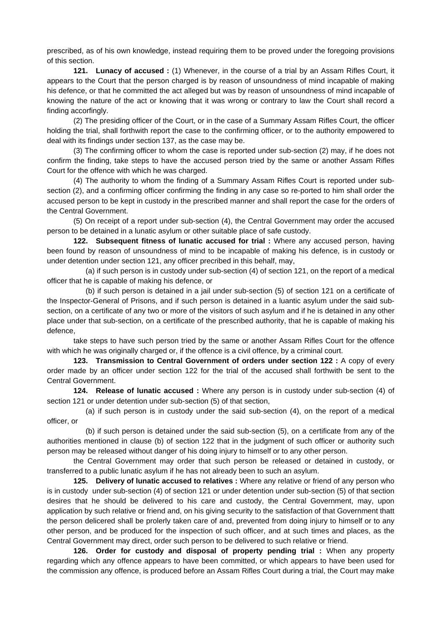prescribed, as of his own knowledge, instead requiring them to be proved under the foregoing provisions of this section.

**121. Lunacy of accused :** (1) Whenever, in the course of a trial by an Assam Rifles Court, it appears to the Court that the person charged is by reason of unsoundness of mind incapable of making his defence, or that he committed the act alleged but was by reason of unsoundness of mind incapable of knowing the nature of the act or knowing that it was wrong or contrary to law the Court shall record a finding accorfingly.

 (2) The presiding officer of the Court, or in the case of a Summary Assam Rifles Court, the officer holding the trial, shall forthwith report the case to the confirming officer, or to the authority empowered to deal with its findings under section 137, as the case may be.

 (3) The confirming officer to whom the case is reported under sub-section (2) may, if he does not confirm the finding, take steps to have the accused person tried by the same or another Assam Rifles Court for the offence with which he was charged.

 (4) The authority to whom the finding of a Summary Assam Rifles Court is reported under subsection (2), and a confirming officer confirming the finding in any case so re-ported to him shall order the accused person to be kept in custody in the prescribed manner and shall report the case for the orders of the Central Government.

 (5) On receipt of a report under sub-section (4), the Central Government may order the accused person to be detained in a lunatic asylum or other suitable place of safe custody.

**122. Subsequent fitness of lunatic accused for trial :** Where any accused person, having been found by reason of unsoundness of mind to be incapable of making his defence, is in custody or under detention under section 121, any officer precribed in this behalf, may,

 (a) if such person is in custody under sub-section (4) of section 121, on the report of a medical officer that he is capable of making his defence, or

 (b) if such person is detained in a jail under sub-section (5) of section 121 on a certificate of the Inspector-General of Prisons, and if such person is detained in a luantic asylum under the said subsection, on a certificate of any two or more of the visitors of such asylum and if he is detained in any other place under that sub-section, on a certificate of the prescribed authority, that he is capable of making his defence,

 take steps to have such person tried by the same or another Assam Rifles Court for the offence with which he was originally charged or, if the offence is a civil offence, by a criminal court.

**123. Transmission to Central Government of orders under section 122 :** A copy of every order made by an officer under section 122 for the trial of the accused shall forthwith be sent to the Central Government.

**124. Release of lunatic accused :** Where any person is in custody under sub-section (4) of section 121 or under detention under sub-section (5) of that section,

 (a) if such person is in custody under the said sub-section (4), on the report of a medical officer, or

 (b) if such person is detained under the said sub-section (5), on a certificate from any of the authorities mentioned in clause (b) of section 122 that in the judgment of such officer or authority such person may be released without danger of his doing injury to himself or to any other person.

 the Central Government may order that such person be released or detained in custody, or transferred to a public lunatic asylum if he has not already been to such an asylum.

**125. Delivery of lunatic accused to relatives :** Where any relative or friend of any person who is in custody under sub-section (4) of section 121 or under detention under sub-section (5) of that section desires that he should be delivered to his care and custody, the Central Government, may, upon application by such relative or friend and, on his giving security to the satisfaction of that Government thatt the person delicered shall be prolerly taken care of and, prevented from doing injury to himself or to any other person, and be produced for the inspection of such officer, and at such times and places, as the Central Government may direct, order such person to be delivered to such relative or friend.

**126. Order for custody and disposal of property pending trial :** When any property regarding which any offence appears to have been committed, or which appears to have been used for the commission any offence, is produced before an Assam Rifles Court during a trial, the Court may make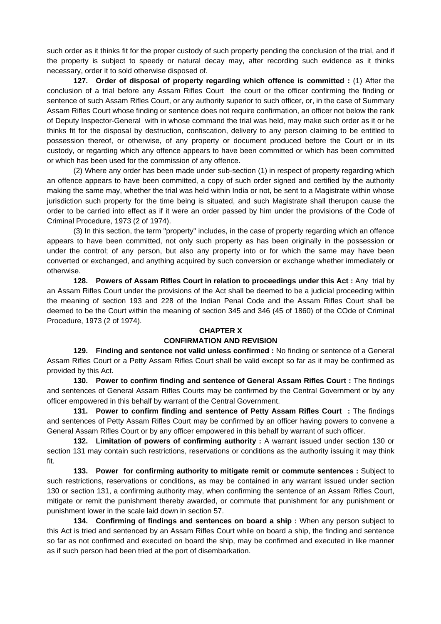such order as it thinks fit for the proper custody of such property pending the conclusion of the trial, and if the property is subject to speedy or natural decay may, after recording such evidence as it thinks necessary, order it to sold otherwise disposed of.

**127. Order of disposal of property regarding which offence is committed :** (1) After the conclusion of a trial before any Assam Rifles Court the court or the officer confirming the finding or sentence of such Assam Rifles Court, or any authority superior to such officer, or, in the case of Summary Assam Rifles Court whose finding or sentence does not require confirmation, an officer not below the rank of Deputy Inspector-General with in whose command the trial was held, may make such order as it or he thinks fit for the disposal by destruction, confiscation, delivery to any person claiming to be entitled to possession thereof, or otherwise, of any property or document produced before the Court or in its custody, or regarding which any offence appears to have been committed or which has been committed or which has been used for the commission of any offence.

 (2) Where any order has been made under sub-section (1) in respect of property regarding which an offence appears to have been committed, a copy of such order signed and certified by the authority making the same may, whether the trial was held within India or not, be sent to a Magistrate within whose jurisdiction such property for the time being is situated, and such Magistrate shall therupon cause the order to be carried into effect as if it were an order passed by him under the provisions of the Code of Criminal Procedure, 1973 (2 of 1974).

 (3) In this section, the term ''property'' includes, in the case of property regarding which an offence appears to have been committed, not only such property as has been originally in the possession or under the control; of any person, but also any property into or for which the same may have been converted or exchanged, and anything acquired by such conversion or exchange whether immediately or otherwise.

**128. Powers of Assam Rifles Court in relation to proceedings under this Act :** Any trial by an Assam Rifles Court under the provisions of the Act shall be deemed to be a judicial proceeding within the meaning of section 193 and 228 of the Indian Penal Code and the Assam Rifles Court shall be deemed to be the Court within the meaning of section 345 and 346 (45 of 1860) of the COde of Criminal Procedure, 1973 (2 of 1974).

## **CHAPTER X**

## **CONFIRMATION AND REVISION**

 **129. Finding and sentence not valid unless confirmed :** No finding or sentence of a General Assam Rifles Court or a Petty Assam Rifles Court shall be valid except so far as it may be confirmed as provided by this Act.

**130. Power to confirm finding and sentence of General Assam Rifles Court :** The findings and sentences of General Assam Rifles Courts may be confirmed by the Central Government or by any officer empowered in this behalf by warrant of the Central Government.

**131. Power to confirm finding and sentence of Petty Assam Rifles Court :** The findings and sentences of Petty Assam Rifles Court may be confirmed by an officer having powers to convene a General Assam Rifles Court or by any officer empowered in this behalf by warrant of such officer.

**132. Limitation of powers of confirming authority :** A warrant issued under section 130 or section 131 may contain such restrictions, reservations or conditions as the authority issuing it may think fit.

**133. Power for confirming authority to mitigate remit or commute sentences :** Subject to such restrictions, reservations or conditions, as may be contained in any warrant issued under section 130 or section 131, a confirming authority may, when confirming the sentence of an Assam Rifles Court, mitigate or remit the punishment thereby awarded, or commute that punishment for any punishment or punishment lower in the scale laid down in section 57.

**134. Confirming of findings and sentences on board a ship :** When any person subject to this Act is tried and sentenced by an Assam Rifles Court while on board a ship, the finding and sentence so far as not confirmed and executed on board the ship, may be confirmed and executed in like manner as if such person had been tried at the port of disembarkation.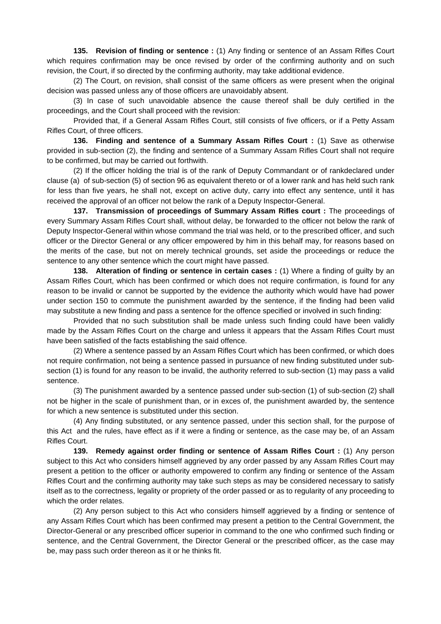**135. Revision of finding or sentence :** (1) Any finding or sentence of an Assam Rifles Court which requires confirmation may be once revised by order of the confirming authority and on such revision, the Court, if so directed by the confirming authority, may take additional evidence.

 (2) The Court, on revision, shall consist of the same officers as were present when the original decision was passed unless any of those officers are unavoidably absent.

 (3) In case of such unavoidable absence the cause thereof shall be duly certified in the proceedings, and the Court shall proceed with the revision:

 Provided that, if a General Assam Rifles Court, still consists of five officers, or if a Petty Assam Rifles Court, of three officers.

**136. Finding and sentence of a Summary Assam Rifles Court :** (1) Save as otherwise provided in sub-section (2), the finding and sentence of a Summary Assam Rifles Court shall not require to be confirmed, but may be carried out forthwith.

 (2) If the officer holding the trial is of the rank of Deputy Commandant or of rankdeclared under clause (a) of sub-section (5) of section 96 as equivalent thereto or of a lower rank and has held such rank for less than five years, he shall not, except on active duty, carry into effect any sentence, until it has received the approval of an officer not below the rank of a Deputy Inspector-General.

**137. Transmission of proceedings of Summary Assam Rifles court :** The proceedings of every Summary Assam Rifles Court shall, without delay, be forwarded to the officer not below the rank of Deputy Inspector-General within whose command the trial was held, or to the prescribed officer, and such officer or the Director General or any officer empowered by him in this behalf may, for reasons based on the merits of the case, but not on merely technical grounds, set aside the proceedings or reduce the sentence to any other sentence which the court might have passed.

**138.** Alteration of finding or sentence in certain cases : (1) Where a finding of guilty by an Assam Rifles Court, which has been confirmed or which does not require confirmation, is found for any reason to be invalid or cannot be supported by the evidence the authority which would have had power under section 150 to commute the punishment awarded by the sentence, if the finding had been valid may substitute a new finding and pass a sentence for the offence specified or involved in such finding:

 Provided that no such substitution shall be made unless such finding could have been validly made by the Assam Rifles Court on the charge and unless it appears that the Assam Rifles Court must have been satisfied of the facts establishing the said offence.

 (2) Where a sentence passed by an Assam Rifles Court which has been confirmed, or which does not require confirmation, not being a sentence passed in pursuance of new finding substituted under subsection (1) is found for any reason to be invalid, the authority referred to sub-section (1) may pass a valid sentence.

 (3) The punishment awarded by a sentence passed under sub-section (1) of sub-section (2) shall not be higher in the scale of punishment than, or in exces of, the punishment awarded by, the sentence for which a new sentence is substituted under this section.

 (4) Any finding substituted, or any sentence passed, under this section shall, for the purpose of this Act and the rules, have effect as if it were a finding or sentence, as the case may be, of an Assam Rifles Court.

**139. Remedy against order finding or sentence of Assam Rifles Court :** (1) Any person subject to this Act who considers himself aggrieved by any order passed by any Assam Rifles Court may present a petition to the officer or authority empowered to confirm any finding or sentence of the Assam Rifles Court and the confirming authority may take such steps as may be considered necessary to satisfy itself as to the correctness, legality or propriety of the order passed or as to regularity of any proceeding to which the order relates.

 (2) Any person subject to this Act who considers himself aggrieved by a finding or sentence of any Assam Rifles Court which has been confirmed may present a petition to the Central Government, the Director-General or any prescribed officer superior in command to the one who confirmed such finding or sentence, and the Central Government, the Director General or the prescribed officer, as the case may be, may pass such order thereon as it or he thinks fit.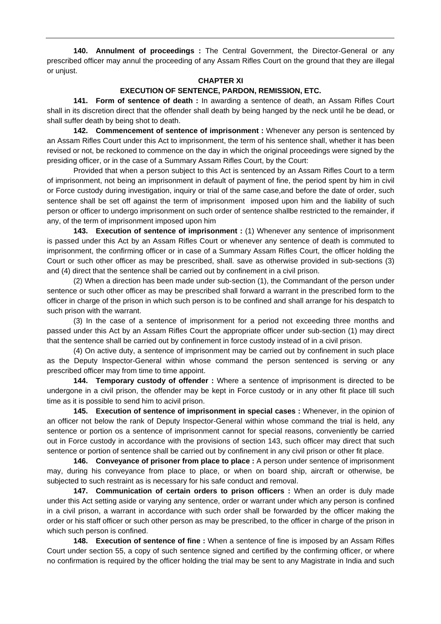**140. Annulment of proceedings :** The Central Government, the Director-General or any prescribed officer may annul the proceeding of any Assam Rifles Court on the ground that they are illegal or unjust.

### **CHAPTER XI**

## **EXECUTION OF SENTENCE, PARDON, REMISSION, ETC.**

 **141. Form of sentence of death :** In awarding a sentence of death, an Assam Rifles Court shall in its discretion direct that the offender shall death by being hanged by the neck until he be dead, or shall suffer death by being shot to death.

**142. Commencement of sentence of imprisonment :** Whenever any person is sentenced by an Assam Rifles Court under this Act to imprisonment, the term of his sentence shall, whether it has been revised or not, be reckoned to commence on the day in which the original proceedings were signed by the presiding officer, or in the case of a Summary Assam Rifles Court, by the Court:

 Provided that when a person subject to this Act is sentenced by an Assam Rifles Court to a term of imprisonment, not being an imprisonment in default of payment of fine, the period spent by him in civil or Force custody during investigation, inquiry or trial of the same case,and before the date of order, such sentence shall be set off against the term of imprisonment imposed upon him and the liability of such person or officer to undergo imprisonment on such order of sentence shallbe restricted to the remainder, if any, of the term of imprisonment imposed upon him

**143. Execution of sentence of imprisonment :** (1) Whenever any sentence of imprisonment is passed under this Act by an Assam Rifles Court or whenever any sentence of death is commuted to imprisonment, the confirming officer or in case of a Summary Assam Rifles Court, the officer holding the Court or such other officer as may be prescribed, shall. save as otherwise provided in sub-sections (3) and (4) direct that the sentence shall be carried out by confinement in a civil prison.

 (2) When a direction has been made under sub-section (1), the Commandant of the person under sentence or such other officer as may be prescribed shall forward a warrant in the prescribed form to the officer in charge of the prison in which such person is to be confined and shall arrange for his despatch to such prison with the warrant.

 (3) In the case of a sentence of imprisonment for a period not exceeding three months and passed under this Act by an Assam Rifles Court the appropriate officer under sub-section (1) may direct that the sentence shall be carried out by confinement in force custody instead of in a civil prison.

 (4) On active duty, a sentence of imprisonment may be carried out by confinement in such place as the Deputy Inspector-General within whose command the person sentenced is serving or any prescribed officer may from time to time appoint.

**144. Temporary custody of offender :** Where a sentence of imprisonment is directed to be undergone in a civil prison, the offender may be kept in Force custody or in any other fit place till such time as it is possible to send him to acivil prison.

**145. Execution of sentence of imprisonment in special cases :** Whenever, in the opinion of an officer not below the rank of Deputy Inspector-General within whose command the trial is held, any sentence or portion os a sentence of imprisonment cannot for special reasons, conveniently be carried out in Force custody in accordance with the provisions of section 143, such officer may direct that such sentence or portion of sentence shall be carried out by confinement in any civil prison or other fit place.

**146. Conveyance of prisoner from place to place :** A person under sentence of imprisonment may, during his conveyance from place to place, or when on board ship, aircraft or otherwise, be subjected to such restraint as is necessary for his safe conduct and removal.

**147. Communication of certain orders to prison officers :** When an order is duly made under this Act setting aside or varying any sentence, order or warrant under which any person is confined in a civil prison, a warrant in accordance with such order shall be forwarded by the officer making the order or his staff officer or such other person as may be prescribed, to the officer in charge of the prison in which such person is confined.

**148. Execution of sentence of fine :** When a sentence of fine is imposed by an Assam Rifles Court under section 55, a copy of such sentence signed and certified by the confirming officer, or where no confirmation is required by the officer holding the trial may be sent to any Magistrate in India and such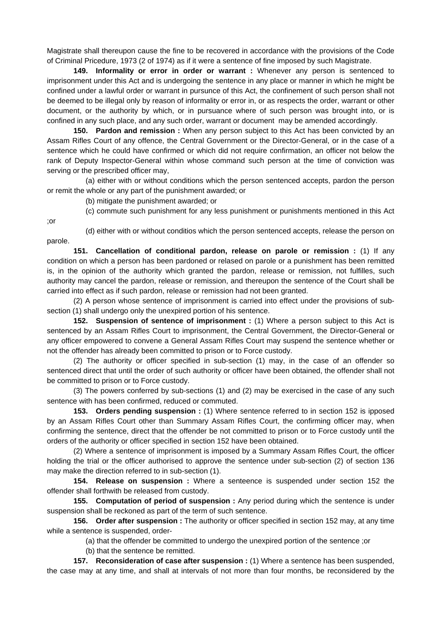Magistrate shall thereupon cause the fine to be recovered in accordance with the provisions of the Code of Criminal Pricedure, 1973 (2 of 1974) as if it were a sentence of fine imposed by such Magistrate.

**149. Informality or error in order or warrant :** Whenever any person is sentenced to imprisonment under this Act and is undergoing the sentence in any place or manner in which he might be confined under a lawful order or warrant in pursunce of this Act, the confinement of such person shall not be deemed to be illegal only by reason of informality or error in, or as respects the order, warrant or other document, or the authority by which, or in pursuance where of such person was brought into, or is confined in any such place, and any such order, warrant or document may be amended accordingly.

**150. Pardon and remission :** When any person subject to this Act has been convicted by an Assam Rifles Court of any offence, the Central Government or the Director-General, or in the case of a sentence which he could have confirmed or which did not require confirmation, an officer not below the rank of Deputy Inspector-General within whose command such person at the time of conviction was serving or the prescribed officer may,

 (a) either with or without conditions which the person sentenced accepts, pardon the person or remit the whole or any part of the punishment awarded; or

(b) mitigate the punishment awarded; or

(c) commute such punishment for any less punishment or punishments mentioned in this Act

;or

 (d) either with or without conditios which the person sentenced accepts, release the person on parole.

**151. Cancellation of conditional pardon, release on parole or remission :** (1) If any condition on which a person has been pardoned or relased on parole or a punishment has been remitted is, in the opinion of the authority which granted the pardon, release or remission, not fulfilles, such authority may cancel the pardon, release or remission, and thereupon the sentence of the Court shall be carried into effect as if such pardon, release or remission had not been granted.

 (2) A person whose sentence of imprisonment is carried into effect under the provisions of subsection (1) shall undergo only the unexpired portion of his sentence.

**152. Suspension of sentence of imprisonment :** (1) Where a person subject to this Act is sentenced by an Assam Rifles Court to imprisonment, the Central Government, the Director-General or any officer empowered to convene a General Assam Rifles Court may suspend the sentence whether or not the offender has already been committed to prison or to Force custody.

 (2) The authority or officer specified in sub-section (1) may, in the case of an offender so sentenced direct that until the order of such authority or officer have been obtained, the offender shall not be committed to prison or to Force custody.

 (3) The powers conferred by sub-sections (1) and (2) may be exercised in the case of any such sentence with has been confirmed, reduced or commuted.

**153. Orders pending suspension :** (1) Where sentence referred to in section 152 is ipposed by an Assam Rifles Court other than Summary Assam Rifles Court, the confirming officer may, when confirming the sentence, direct that the offender be not committed to prison or to Force custody until the orders of the authority or officer specified in section 152 have been obtained.

 (2) Where a sentence of imprisonment is imposed by a Summary Assam Rifles Court, the officer holding the trial or the officer authorised to approve the sentence under sub-section (2) of section 136 may make the direction referred to in sub-section (1).

**154. Release on suspension :** Where a senteence is suspended under section 152 the offender shall forthwith be released from custody.

**155. Computation of period of suspension :** Any period during which the sentence is under suspension shall be reckoned as part of the term of such sentence.

 **156. Order after suspension :** The authority or officer specified in section 152 may, at any time while a sentence is suspended, order-

(a) that the offender be committed to undergo the unexpired portion of the sentence ;or

(b) that the sentence be remitted.

**157. Reconsideration of case after suspension :** (1) Where a sentence has been suspended, the case may at any time, and shall at intervals of not more than four months, be reconsidered by the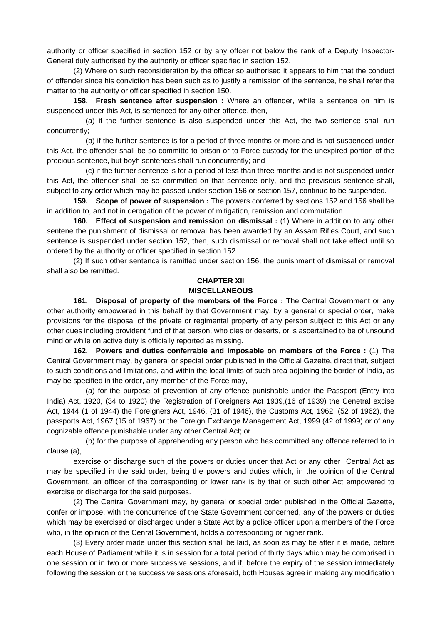authority or officer specified in section 152 or by any offcer not below the rank of a Deputy Inspector-General duly authorised by the authority or officer specified in section 152.

 (2) Where on such reconsideration by the officer so authorised it appears to him that the conduct of offender since his conviction has been such as to justify a remission of the sentence, he shall refer the matter to the authority or officer specified in section 150.

**158. Fresh sentence after suspension :** Where an offender, while a sentence on him is suspended under this Act, is sentenced for any other offence, then,

 (a) if the further sentence is also suspended under this Act, the two sentence shall run concurrently;

 (b) if the further sentence is for a period of three months or more and is not suspended under this Act, the offender shall be so committe to prison or to Force custody for the unexpired portion of the precious sentence, but boyh sentences shall run concurrently; and

 (c) if the further sentence is for a period of less than three months and is not suspended under this Act, the offender shall be so committed on that sentence only, and the previsous sentence shall, subject to any order which may be passed under section 156 or section 157, continue to be suspended.

**159. Scope of power of suspension :** The powers conferred by sections 152 and 156 shall be in addition to, and not in derogation of the power of mitigation, remission and commutation.

**160. Effect of suspension and remission on dismissal :** (1) Where in addition to any other sentene the punishment of dismissal or removal has been awarded by an Assam Rifles Court, and such sentence is suspended under section 152, then, such dismissal or removal shall not take effect until so ordered by the authority or officer specified in section 152.

 (2) If such other sentence is remitted under section 156, the punishment of dismissal or removal shall also be remitted.

### **CHAPTER XII MISCELLANEOUS**

161. Disposal of property of the members of the Force : The Central Government or any other authority empowered in this behalf by that Government may, by a general or special order, make provisions for the disposal of the private or regimental property of any person subject to this Act or any other dues including provident fund of that person, who dies or deserts, or is ascertained to be of unsound mind or while on active duty is officially reported as missing.

**162. Powers and duties conferrable and imposable on members of the Force :** (1) The Central Government may, by general or special order published in the Official Gazette, direct that, subject to such conditions and limitations, and within the local limits of such area adjoining the border of India, as may be specified in the order, any member of the Force may,

 (a) for the purpose of prevention of any offence punishable under the Passport (Entry into India) Act, 1920, (34 to 1920) the Registration of Foreigners Act 1939,(16 of 1939) the Cenetral excise Act, 1944 (1 of 1944) the Foreigners Act, 1946, (31 of 1946), the Customs Act, 1962, (52 of 1962), the passports Act, 1967 (15 of 1967) or the Foreign Exchange Management Act, 1999 (42 of 1999) or of any cognizable offence punishable under any other Central Act; or

 (b) for the purpose of apprehending any person who has committed any offence referred to in clause (a),

 exercise or discharge such of the powers or duties under that Act or any other Central Act as may be specified in the said order, being the powers and duties which, in the opinion of the Central Government, an officer of the corresponding or lower rank is by that or such other Act empowered to exercise or discharge for the said purposes.

 (2) The Central Government may, by general or special order published in the Official Gazette, confer or impose, with the concurrence of the State Government concerned, any of the powers or duties which may be exercised or discharged under a State Act by a police officer upon a members of the Force who, in the opinion of the Cenral Government, holds a corresponding or higher rank.

 (3) Every order made under this section shall be laid, as soon as may be after it is made, before each House of Parliament while it is in session for a total period of thirty days which may be comprised in one session or in two or more successive sessions, and if, before the expiry of the session immediately following the session or the successive sessions aforesaid, both Houses agree in making any modification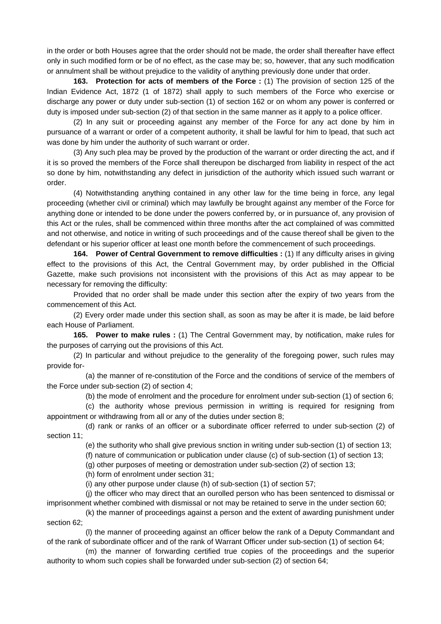in the order or both Houses agree that the order should not be made, the order shall thereafter have effect only in such modified form or be of no effect, as the case may be; so, however, that any such modification or annulment shall be without prejudice to the validity of anything previously done under that order.

**163. Protection for acts of members of the Force :** (1) The provision of section 125 of the Indian Evidence Act, 1872 (1 of 1872) shall apply to such members of the Force who exercise or discharge any power or duty under sub-section (1) of section 162 or on whom any power is conferred or duty is imposed under sub-section (2) of that section in the same manner as it apply to a police officer.

 (2) In any suit or proceeding against any member of the Force for any act done by him in pursuance of a warrant or order of a competent authority, it shall be lawful for him to lpead, that such act was done by him under the authority of such warrant or order.

 (3) Any such plea may be proved by the production of the warrant or order directing the act, and if it is so proved the members of the Force shall thereupon be discharged from liability in respect of the act so done by him, notwithstanding any defect in jurisdiction of the authority which issued such warrant or order.

 (4) Notwithstanding anything contained in any other law for the time being in force, any legal proceeding (whether civil or criminal) which may lawfully be brought against any member of the Force for anything done or intended to be done under the powers conferred by, or in pursuance of, any provision of this Act or the rules, shall be commenced within three months after the act complained of was committed and not otherwise, and notice in writing of such proceedings and of the cause thereof shall be given to the defendant or his superior officer at least one month before the commencement of such proceedings.

**164. Power of Central Government to remove difficulties :** (1) If any difficulty arises in giving effect to the provisions of this Act, the Central Government may, by order published in the Official Gazette, make such provisions not inconsistent with the provisions of this Act as may appear to be necessary for removing the difficulty:

 Provided that no order shall be made under this section after the expiry of two years from the commencement of this Act.

 (2) Every order made under this section shall, as soon as may be after it is made, be laid before each House of Parliament.

**165. Power to make rules :** (1) The Central Government may, by notification, make rules for the purposes of carrying out the provisions of this Act.

 (2) In particular and without prejudice to the generality of the foregoing power, such rules may provide for-

 (a) the manner of re-constitution of the Force and the conditions of service of the members of the Force under sub-section (2) of section 4;

(b) the mode of enrolment and the procedure for enrolment under sub-section (1) of section 6;

 (c) the authority whose previous permission in writting is required for resigning from appointment or withdrawing from all or any of the duties under section 8;

 (d) rank or ranks of an officer or a subordinate officer referred to under sub-section (2) of section 11;

(e) the suthority who shall give previous snction in writing under sub-section (1) of section 13;

(f) nature of communication or publication under clause (c) of sub-section (1) of section 13;

(g) other purposes of meeting or demostration under sub-section (2) of section 13;

(h) form of enrolment under section 31;

(i) any other purpose under clause (h) of sub-section (1) of section 57;

 (j) the officer who may direct that an ourolled person who has been sentenced to dismissal or imprisonment whether combined with dismissal or not may be retained to serve in the under section 60;

 (k) the manner of proceedings against a person and the extent of awarding punishment under section 62;

 (l) the manner of proceeding against an officer below the rank of a Deputy Commandant and of the rank of subordinate officer and of the rank of Warrant Officer under sub-section (1) of section 64;

 (m) the manner of forwarding certified true copies of the proceedings and the superior authority to whom such copies shall be forwarded under sub-section (2) of section 64;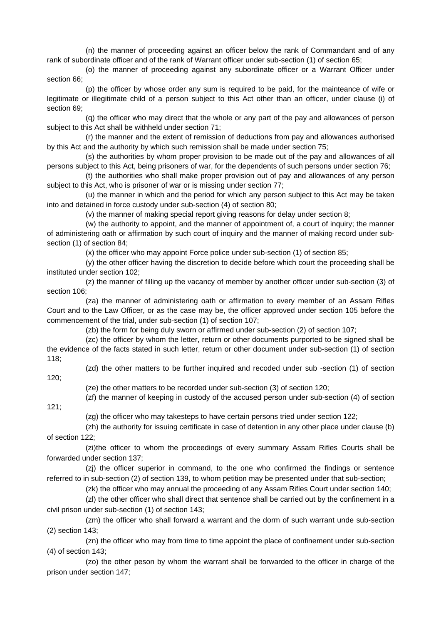(n) the manner of proceeding against an officer below the rank of Commandant and of any rank of subordinate officer and of the rank of Warrant officer under sub-section (1) of section 65;

 (o) the manner of proceeding against any subordinate officer or a Warrant Officer under section 66;

 (p) the officer by whose order any sum is required to be paid, for the mainteance of wife or legitimate or illegitimate child of a person subject to this Act other than an officer, under clause (i) of section 69;

 (q) the officer who may direct that the whole or any part of the pay and allowances of person subject to this Act shall be withheld under section 71;

 (r) the manner and the extent of remission of deductions from pay and allowances authorised by this Act and the authority by which such remission shall be made under section 75;

 (s) the authorities by whom proper provision to be made out of the pay and allowances of all persons subject to this Act, being prisoners of war, for the dependents of such persons under section 76;

 (t) the authorities who shall make proper provision out of pay and allowances of any person subject to this Act, who is prisoner of war or is missing under section 77;

 (u) the manner in which and the period for which any person subject to this Act may be taken into and detained in force custody under sub-section (4) of section 80;

(v) the manner of making special report giving reasons for delay under section 8;

 (w) the authority to appoint, and the manner of appointment of, a court of inquiry; the manner of administering oath or affirmation by such court of inquiry and the manner of making record under subsection (1) of section 84;

(x) the officer who may appoint Force police under sub-section (1) of section 85;

 (y) the other officer having the discretion to decide before which court the proceeding shall be instituted under section 102;

 (z) the manner of filling up the vacancy of member by another officer under sub-section (3) of section 106:

 (za) the manner of administering oath or affirmation to every member of an Assam Rifles Court and to the Law Officer, or as the case may be, the officer approved under section 105 before the commencement of the trial, under sub-section (1) of section 107;

(zb) the form for being duly sworn or affirmed under sub-section (2) of section 107;

 (zc) the officer by whom the letter, return or other documents purported to be signed shall be the evidence of the facts stated in such letter, return or other document under sub-section (1) of section 118;

120;

(zd) the other matters to be further inquired and recoded under sub -section (1) of section

(ze) the other matters to be recorded under sub-section (3) of section 120;

(zf) the manner of keeping in custody of the accused person under sub-section (4) of section

121;

(zg) the officer who may takesteps to have certain persons tried under section 122;

 (zh) the authority for issuing certificate in case of detention in any other place under clause (b) of section 122;

 (zi)the officer to whom the proceedings of every summary Assam Rifles Courts shall be forwarded under section 137;

 (zj) the officer superior in command, to the one who confirmed the findings or sentence referred to in sub-section (2) of section 139, to whom petition may be presented under that sub-section;

(zk) the officer who may annual the proceeding of any Assam Rifles Court under section 140;

 (zl) the other officer who shall direct that sentence shall be carried out by the confinement in a civil prison under sub-section (1) of section 143;

 (zm) the officer who shall forward a warrant and the dorm of such warrant unde sub-section (2) section 143;

 (zn) the officer who may from time to time appoint the place of confinement under sub-section (4) of section 143;

 (zo) the other peson by whom the warrant shall be forwarded to the officer in charge of the prison under section 147;